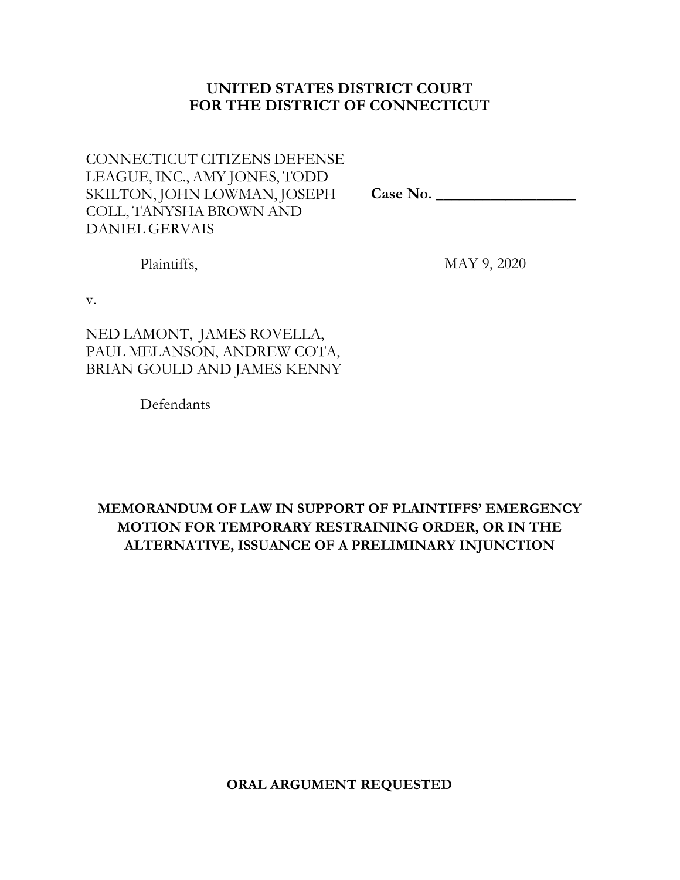## **UNITED STATES DISTRICT COURT FOR THE DISTRICT OF CONNECTICUT**

| CONNECTICUT CITIZENS DEFENSE  |
|-------------------------------|
| LEAGUE, INC., AMY JONES, TODD |
| SKILTON, JOHN LOWMAN, JOSEPH  |
| COLL, TANYSHA BROWN AND       |
| <b>DANIEL GERVAIS</b>         |
|                               |

Plaintiffs,

**Case No. \_\_\_\_\_\_\_\_\_\_\_\_\_\_\_\_\_\_** 

MAY 9, 2020

v.

NED LAMONT, JAMES ROVELLA, PAUL MELANSON, ANDREW COTA, BRIAN GOULD AND JAMES KENNY

Defendants

## **MEMORANDUM OF LAW IN SUPPORT OF PLAINTIFFS' EMERGENCY MOTION FOR TEMPORARY RESTRAINING ORDER, OR IN THE ALTERNATIVE, ISSUANCE OF A PRELIMINARY INJUNCTION**

**ORAL ARGUMENT REQUESTED**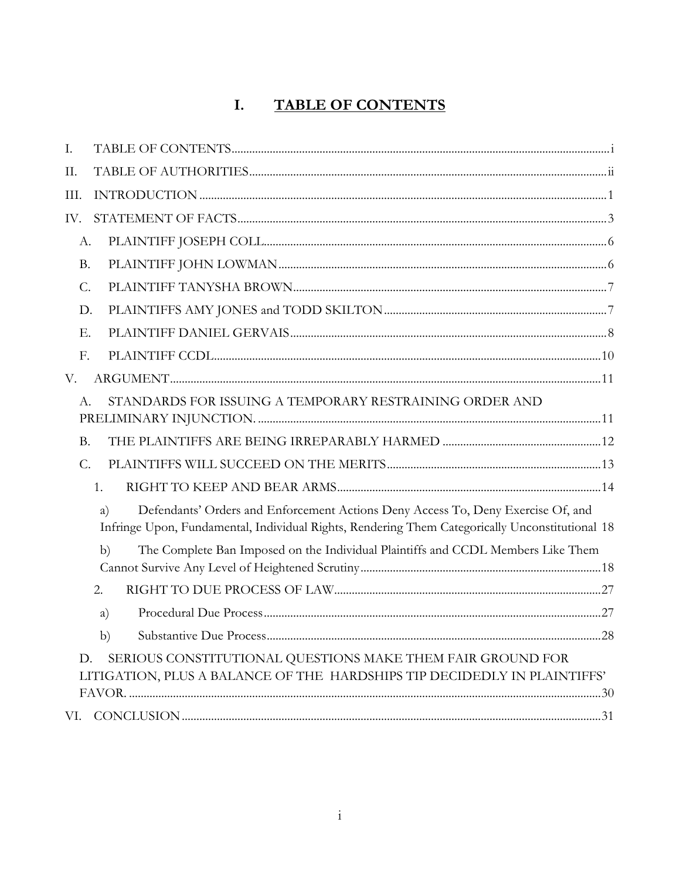#### **TABLE OF CONTENTS** I.

| I.          |                                                                                                                                                                                           |  |
|-------------|-------------------------------------------------------------------------------------------------------------------------------------------------------------------------------------------|--|
| II.         |                                                                                                                                                                                           |  |
| III.        |                                                                                                                                                                                           |  |
| IV.         |                                                                                                                                                                                           |  |
| А.          |                                                                                                                                                                                           |  |
| <b>B.</b>   |                                                                                                                                                                                           |  |
| C.          |                                                                                                                                                                                           |  |
| D.          |                                                                                                                                                                                           |  |
| Ε.          |                                                                                                                                                                                           |  |
| F.          |                                                                                                                                                                                           |  |
| V.          |                                                                                                                                                                                           |  |
| A.          | STANDARDS FOR ISSUING A TEMPORARY RESTRAINING ORDER AND                                                                                                                                   |  |
| <b>B.</b>   |                                                                                                                                                                                           |  |
| $C_{\cdot}$ |                                                                                                                                                                                           |  |
|             | 1.                                                                                                                                                                                        |  |
|             | Defendants' Orders and Enforcement Actions Deny Access To, Deny Exercise Of, and<br>a)<br>Infringe Upon, Fundamental, Individual Rights, Rendering Them Categorically Unconstitutional 18 |  |
|             | The Complete Ban Imposed on the Individual Plaintiffs and CCDL Members Like Them<br>b)                                                                                                    |  |
|             | 2.                                                                                                                                                                                        |  |
|             | a)                                                                                                                                                                                        |  |
|             | b)                                                                                                                                                                                        |  |
| D.          | SERIOUS CONSTITUTIONAL QUESTIONS MAKE THEM FAIR GROUND FOR<br>LITIGATION, PLUS A BALANCE OF THE HARDSHIPS TIP DECIDEDLY IN PLAINTIFFS'                                                    |  |
| VI.         |                                                                                                                                                                                           |  |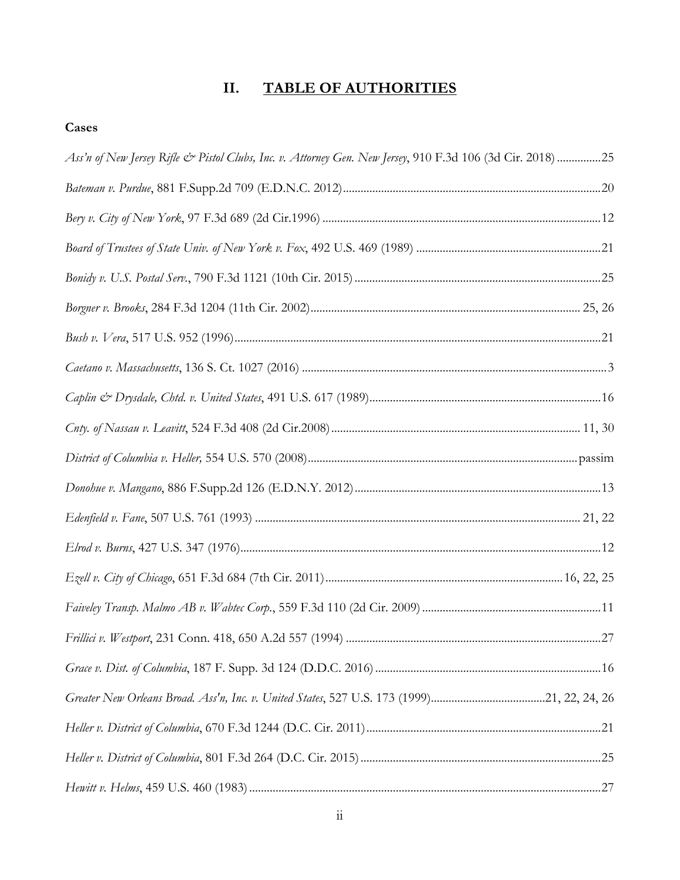# **II. TABLE OF AUTHORITIES**

## **Cases**

| Ass'n of New Jersey Rifle & Pistol Clubs, Inc. v. Attorney Gen. New Jersey, 910 F.3d 106 (3d Cir. 2018) 25 |  |
|------------------------------------------------------------------------------------------------------------|--|
|                                                                                                            |  |
|                                                                                                            |  |
|                                                                                                            |  |
|                                                                                                            |  |
|                                                                                                            |  |
|                                                                                                            |  |
|                                                                                                            |  |
|                                                                                                            |  |
|                                                                                                            |  |
|                                                                                                            |  |
|                                                                                                            |  |
|                                                                                                            |  |
|                                                                                                            |  |
|                                                                                                            |  |
|                                                                                                            |  |
|                                                                                                            |  |
|                                                                                                            |  |
|                                                                                                            |  |
|                                                                                                            |  |
|                                                                                                            |  |
|                                                                                                            |  |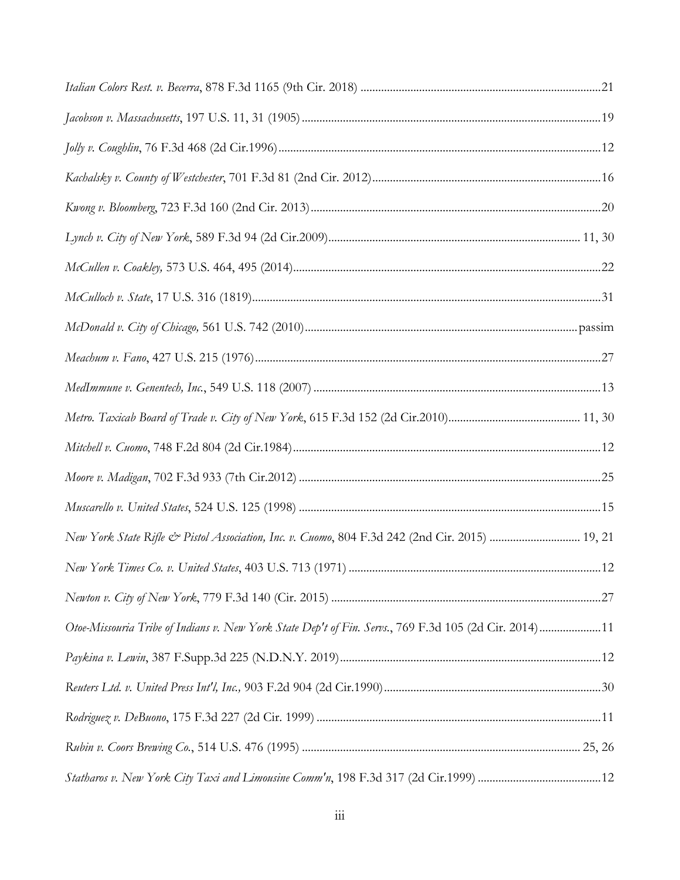| New York State Rifle & Pistol Association, Inc. v. Cuomo, 804 F.3d 242 (2nd Cir. 2015)  19, 21        |  |
|-------------------------------------------------------------------------------------------------------|--|
|                                                                                                       |  |
|                                                                                                       |  |
| Otoe-Missouria Tribe of Indians v. New York State Dep't of Fin. Servs., 769 F.3d 105 (2d Cir. 2014)11 |  |
|                                                                                                       |  |
|                                                                                                       |  |
|                                                                                                       |  |
|                                                                                                       |  |
|                                                                                                       |  |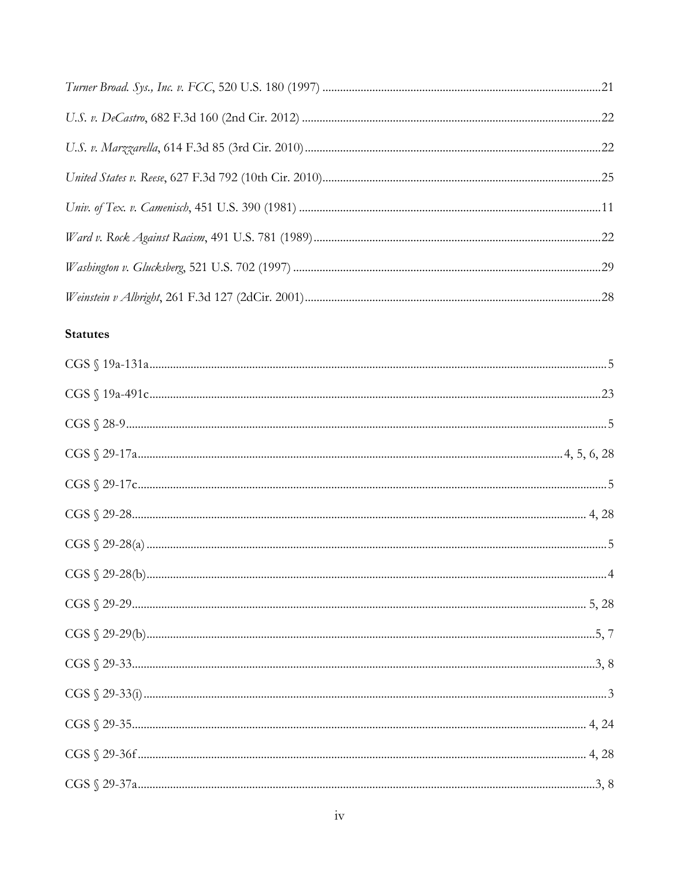## **Statutes**

| $\text{CGS} \ \S \ 29\text{-}28\text{}{\text{}} \ 4,28$                                                                                                                                                                                                                                                                                                                                                                                            |  |
|----------------------------------------------------------------------------------------------------------------------------------------------------------------------------------------------------------------------------------------------------------------------------------------------------------------------------------------------------------------------------------------------------------------------------------------------------|--|
|                                                                                                                                                                                                                                                                                                                                                                                                                                                    |  |
|                                                                                                                                                                                                                                                                                                                                                                                                                                                    |  |
|                                                                                                                                                                                                                                                                                                                                                                                                                                                    |  |
|                                                                                                                                                                                                                                                                                                                                                                                                                                                    |  |
|                                                                                                                                                                                                                                                                                                                                                                                                                                                    |  |
|                                                                                                                                                                                                                                                                                                                                                                                                                                                    |  |
|                                                                                                                                                                                                                                                                                                                                                                                                                                                    |  |
|                                                                                                                                                                                                                                                                                                                                                                                                                                                    |  |
| $\text{CGS} \ \S \ 29\text{-}37 \text{a} \ldots \text{a} \ldots \text{a} \ldots \text{a} \ldots \text{a} \ldots \text{a} \ldots \text{a} \ldots \text{a} \ldots \text{a} \ldots \text{a} \ldots \text{a} \ldots \text{a} \ldots \text{a} \ldots \text{a} \ldots \text{a} \ldots \text{a} \ldots \text{a} \ldots \text{a} \ldots \text{a} \ldots \text{a} \ldots \text{a} \ldots \text{a} \ldots \text{a} \ldots \text{a} \ldots \text{a} \ldots \$ |  |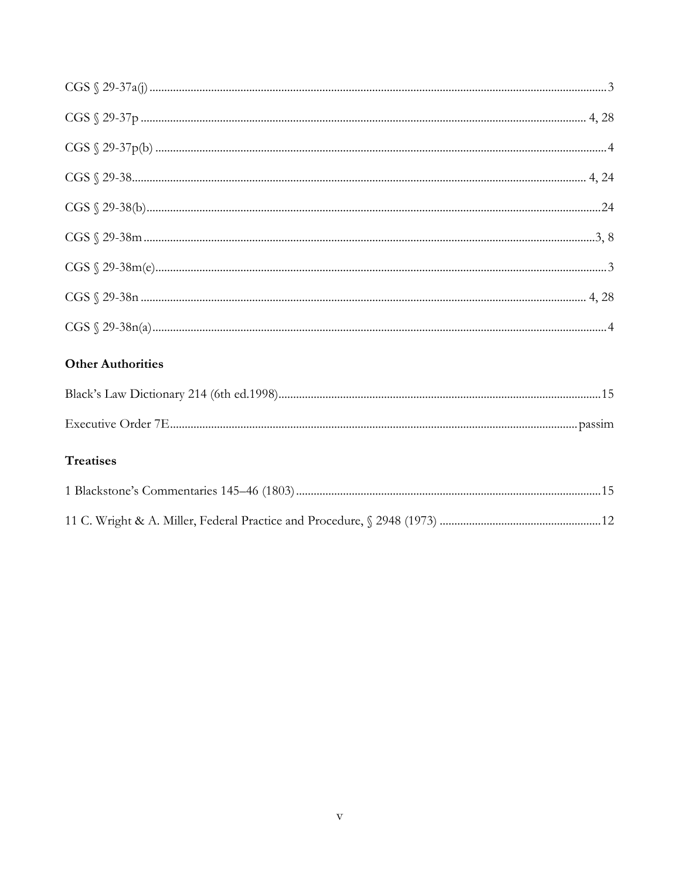| <b>Other Authorities</b> |  |
|--------------------------|--|
|                          |  |
|                          |  |
| <b>Treatises</b>         |  |
|                          |  |
|                          |  |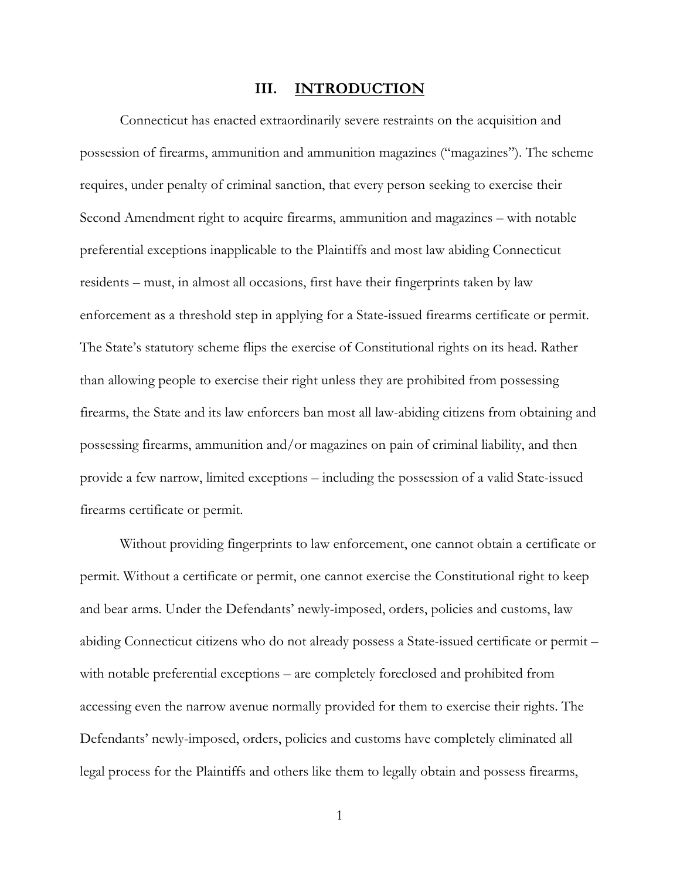#### **III. INTRODUCTION**

 Connecticut has enacted extraordinarily severe restraints on the acquisition and possession of firearms, ammunition and ammunition magazines ("magazines"). The scheme requires, under penalty of criminal sanction, that every person seeking to exercise their Second Amendment right to acquire firearms, ammunition and magazines – with notable preferential exceptions inapplicable to the Plaintiffs and most law abiding Connecticut residents – must, in almost all occasions, first have their fingerprints taken by law enforcement as a threshold step in applying for a State-issued firearms certificate or permit. The State's statutory scheme flips the exercise of Constitutional rights on its head. Rather than allowing people to exercise their right unless they are prohibited from possessing firearms, the State and its law enforcers ban most all law-abiding citizens from obtaining and possessing firearms, ammunition and/or magazines on pain of criminal liability, and then provide a few narrow, limited exceptions – including the possession of a valid State-issued firearms certificate or permit.

 Without providing fingerprints to law enforcement, one cannot obtain a certificate or permit. Without a certificate or permit, one cannot exercise the Constitutional right to keep and bear arms. Under the Defendants' newly-imposed, orders, policies and customs, law abiding Connecticut citizens who do not already possess a State-issued certificate or permit – with notable preferential exceptions – are completely foreclosed and prohibited from accessing even the narrow avenue normally provided for them to exercise their rights. The Defendants' newly-imposed, orders, policies and customs have completely eliminated all legal process for the Plaintiffs and others like them to legally obtain and possess firearms,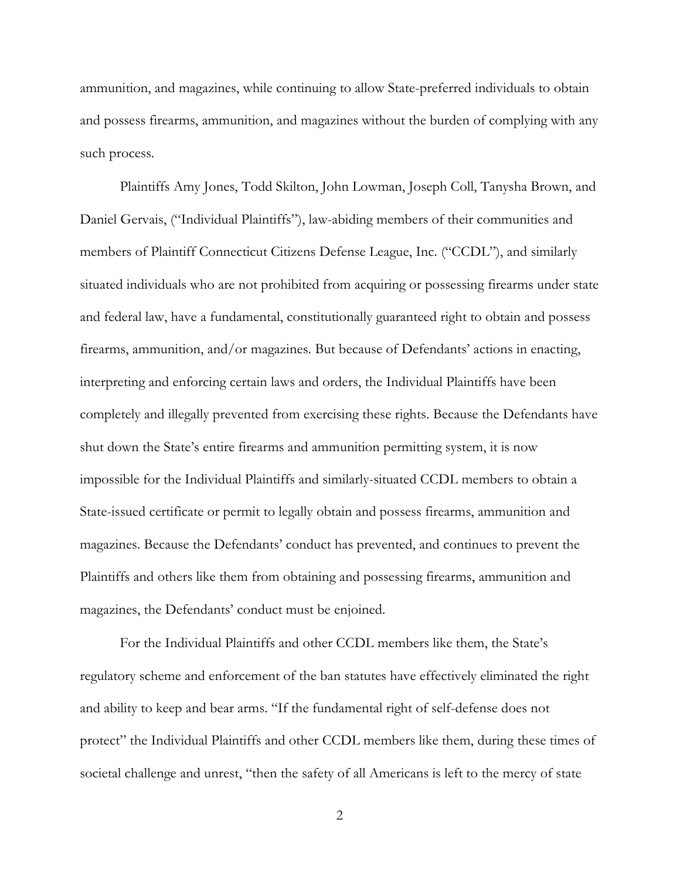ammunition, and magazines, while continuing to allow State-preferred individuals to obtain and possess firearms, ammunition, and magazines without the burden of complying with any such process.

 Plaintiffs Amy Jones, Todd Skilton, John Lowman, Joseph Coll, Tanysha Brown, and Daniel Gervais, ("Individual Plaintiffs"), law-abiding members of their communities and members of Plaintiff Connecticut Citizens Defense League, Inc. ("CCDL"), and similarly situated individuals who are not prohibited from acquiring or possessing firearms under state and federal law, have a fundamental, constitutionally guaranteed right to obtain and possess firearms, ammunition, and/or magazines. But because of Defendants' actions in enacting, interpreting and enforcing certain laws and orders, the Individual Plaintiffs have been completely and illegally prevented from exercising these rights. Because the Defendants have shut down the State's entire firearms and ammunition permitting system, it is now impossible for the Individual Plaintiffs and similarly-situated CCDL members to obtain a State-issued certificate or permit to legally obtain and possess firearms, ammunition and magazines. Because the Defendants' conduct has prevented, and continues to prevent the Plaintiffs and others like them from obtaining and possessing firearms, ammunition and magazines, the Defendants' conduct must be enjoined.

 For the Individual Plaintiffs and other CCDL members like them, the State's regulatory scheme and enforcement of the ban statutes have effectively eliminated the right and ability to keep and bear arms. "If the fundamental right of self-defense does not protect" the Individual Plaintiffs and other CCDL members like them, during these times of societal challenge and unrest, "then the safety of all Americans is left to the mercy of state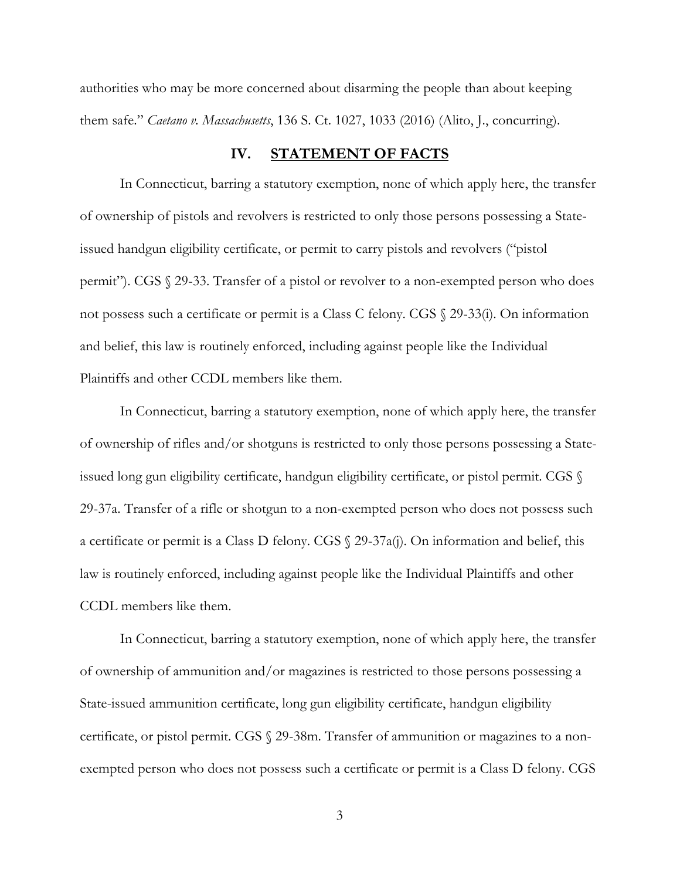authorities who may be more concerned about disarming the people than about keeping them safe." *Caetano v. Massachusetts*, 136 S. Ct. 1027, 1033 (2016) (Alito, J., concurring).

### **IV. STATEMENT OF FACTS**

In Connecticut, barring a statutory exemption, none of which apply here, the transfer of ownership of pistols and revolvers is restricted to only those persons possessing a Stateissued handgun eligibility certificate, or permit to carry pistols and revolvers ("pistol permit"). CGS § 29-33. Transfer of a pistol or revolver to a non-exempted person who does not possess such a certificate or permit is a Class C felony. CGS § 29-33(i). On information and belief, this law is routinely enforced, including against people like the Individual Plaintiffs and other CCDL members like them.

In Connecticut, barring a statutory exemption, none of which apply here, the transfer of ownership of rifles and/or shotguns is restricted to only those persons possessing a Stateissued long gun eligibility certificate, handgun eligibility certificate, or pistol permit. CGS § 29-37a. Transfer of a rifle or shotgun to a non-exempted person who does not possess such a certificate or permit is a Class D felony. CGS § 29-37a(j). On information and belief, this law is routinely enforced, including against people like the Individual Plaintiffs and other CCDL members like them.

In Connecticut, barring a statutory exemption, none of which apply here, the transfer of ownership of ammunition and/or magazines is restricted to those persons possessing a State-issued ammunition certificate, long gun eligibility certificate, handgun eligibility certificate, or pistol permit. CGS § 29-38m. Transfer of ammunition or magazines to a nonexempted person who does not possess such a certificate or permit is a Class D felony. CGS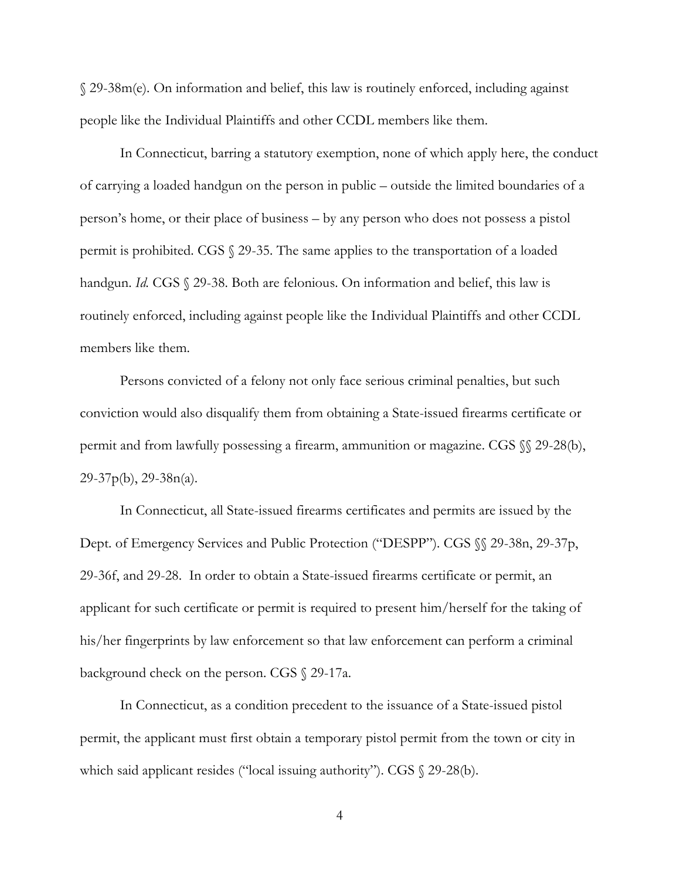§ 29-38m(e). On information and belief, this law is routinely enforced, including against people like the Individual Plaintiffs and other CCDL members like them.

In Connecticut, barring a statutory exemption, none of which apply here, the conduct of carrying a loaded handgun on the person in public – outside the limited boundaries of a person's home, or their place of business – by any person who does not possess a pistol permit is prohibited. CGS § 29-35. The same applies to the transportation of a loaded handgun. *Id.* CGS § 29-38. Both are felonious. On information and belief, this law is routinely enforced, including against people like the Individual Plaintiffs and other CCDL members like them.

Persons convicted of a felony not only face serious criminal penalties, but such conviction would also disqualify them from obtaining a State-issued firearms certificate or permit and from lawfully possessing a firearm, ammunition or magazine. CGS §§ 29-28(b), 29-37p(b), 29-38n(a).

In Connecticut, all State-issued firearms certificates and permits are issued by the Dept. of Emergency Services and Public Protection ("DESPP"). CGS §§ 29-38n, 29-37p, 29-36f, and 29-28. In order to obtain a State-issued firearms certificate or permit, an applicant for such certificate or permit is required to present him/herself for the taking of his/her fingerprints by law enforcement so that law enforcement can perform a criminal background check on the person. CGS § 29-17a.

In Connecticut, as a condition precedent to the issuance of a State-issued pistol permit, the applicant must first obtain a temporary pistol permit from the town or city in which said applicant resides ("local issuing authority"). CGS  $\$ 29-28(b).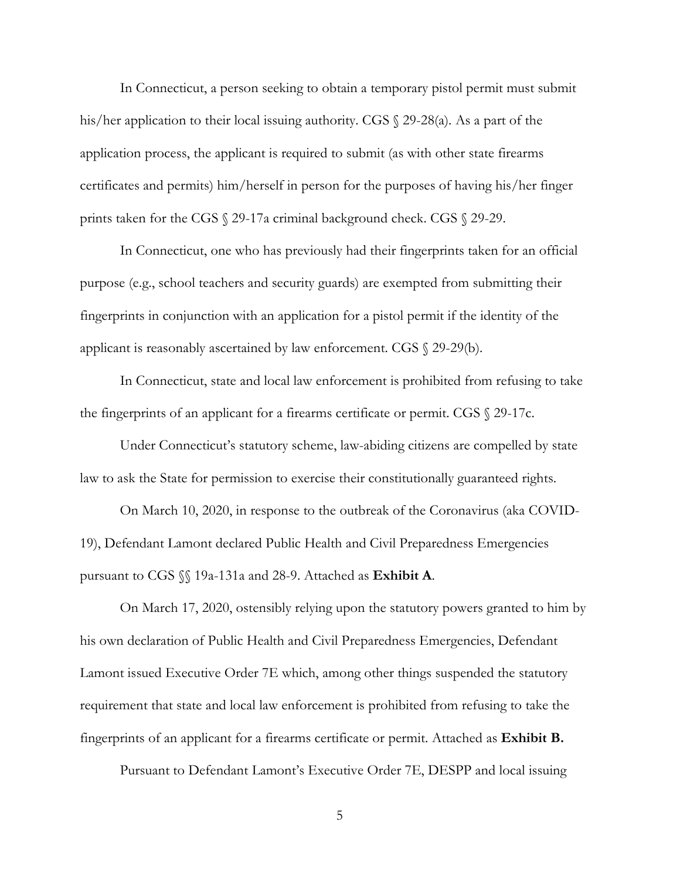In Connecticut, a person seeking to obtain a temporary pistol permit must submit his/her application to their local issuing authority. CGS § 29-28(a). As a part of the application process, the applicant is required to submit (as with other state firearms certificates and permits) him/herself in person for the purposes of having his/her finger prints taken for the CGS § 29-17a criminal background check. CGS § 29-29.

In Connecticut, one who has previously had their fingerprints taken for an official purpose (e.g., school teachers and security guards) are exempted from submitting their fingerprints in conjunction with an application for a pistol permit if the identity of the applicant is reasonably ascertained by law enforcement. CGS § 29-29(b).

In Connecticut, state and local law enforcement is prohibited from refusing to take the fingerprints of an applicant for a firearms certificate or permit. CGS § 29-17c.

Under Connecticut's statutory scheme, law-abiding citizens are compelled by state law to ask the State for permission to exercise their constitutionally guaranteed rights.

On March 10, 2020, in response to the outbreak of the Coronavirus (aka COVID-19), Defendant Lamont declared Public Health and Civil Preparedness Emergencies pursuant to CGS §§ 19a-131a and 28-9. Attached as **Exhibit A**.

On March 17, 2020, ostensibly relying upon the statutory powers granted to him by his own declaration of Public Health and Civil Preparedness Emergencies, Defendant Lamont issued Executive Order 7E which, among other things suspended the statutory requirement that state and local law enforcement is prohibited from refusing to take the fingerprints of an applicant for a firearms certificate or permit. Attached as **Exhibit B.**

Pursuant to Defendant Lamont's Executive Order 7E, DESPP and local issuing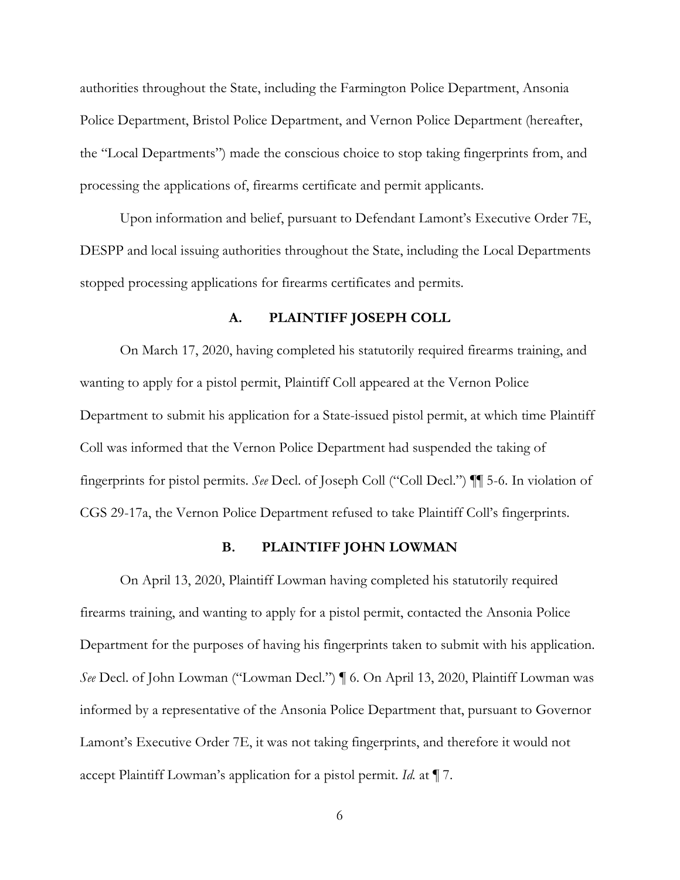authorities throughout the State, including the Farmington Police Department, Ansonia Police Department, Bristol Police Department, and Vernon Police Department (hereafter, the "Local Departments") made the conscious choice to stop taking fingerprints from, and processing the applications of, firearms certificate and permit applicants.

Upon information and belief, pursuant to Defendant Lamont's Executive Order 7E, DESPP and local issuing authorities throughout the State, including the Local Departments stopped processing applications for firearms certificates and permits.

### **A. PLAINTIFF JOSEPH COLL**

On March 17, 2020, having completed his statutorily required firearms training, and wanting to apply for a pistol permit, Plaintiff Coll appeared at the Vernon Police Department to submit his application for a State-issued pistol permit, at which time Plaintiff Coll was informed that the Vernon Police Department had suspended the taking of fingerprints for pistol permits. *See* Decl. of Joseph Coll ("Coll Decl.") ¶¶ 5-6. In violation of CGS 29-17a, the Vernon Police Department refused to take Plaintiff Coll's fingerprints.

#### **B. PLAINTIFF JOHN LOWMAN**

On April 13, 2020, Plaintiff Lowman having completed his statutorily required firearms training, and wanting to apply for a pistol permit, contacted the Ansonia Police Department for the purposes of having his fingerprints taken to submit with his application. *See* Decl. of John Lowman ("Lowman Decl.") ¶ 6. On April 13, 2020, Plaintiff Lowman was informed by a representative of the Ansonia Police Department that, pursuant to Governor Lamont's Executive Order 7E, it was not taking fingerprints, and therefore it would not accept Plaintiff Lowman's application for a pistol permit. *Id.* at ¶ 7.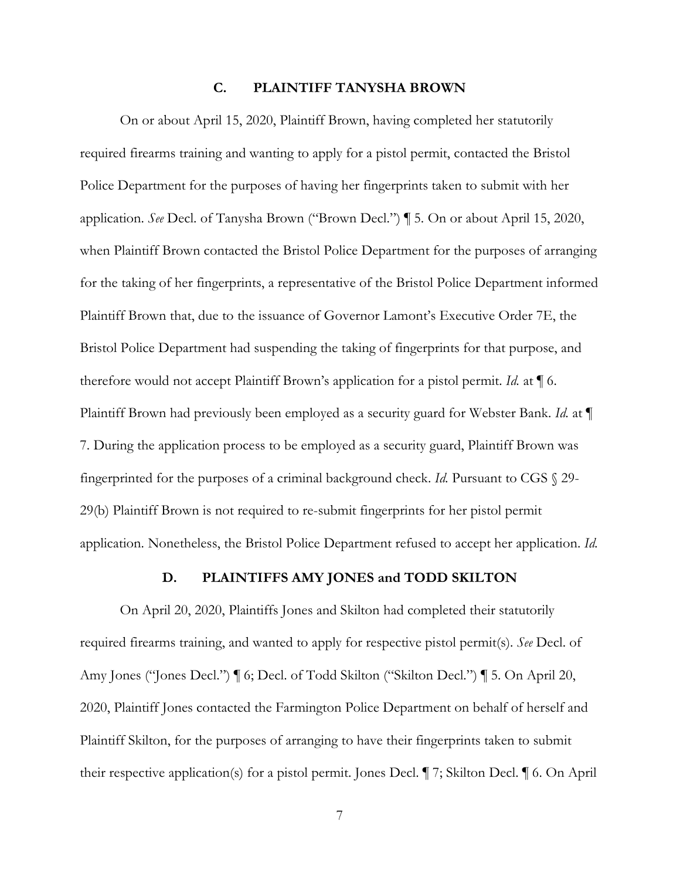#### **C. PLAINTIFF TANYSHA BROWN**

On or about April 15, 2020, Plaintiff Brown, having completed her statutorily required firearms training and wanting to apply for a pistol permit, contacted the Bristol Police Department for the purposes of having her fingerprints taken to submit with her application. *See* Decl. of Tanysha Brown ("Brown Decl.") ¶ 5. On or about April 15, 2020, when Plaintiff Brown contacted the Bristol Police Department for the purposes of arranging for the taking of her fingerprints, a representative of the Bristol Police Department informed Plaintiff Brown that, due to the issuance of Governor Lamont's Executive Order 7E, the Bristol Police Department had suspending the taking of fingerprints for that purpose, and therefore would not accept Plaintiff Brown's application for a pistol permit. *Id.* at ¶ 6. Plaintiff Brown had previously been employed as a security guard for Webster Bank. *Id.* at ¶ 7. During the application process to be employed as a security guard, Plaintiff Brown was fingerprinted for the purposes of a criminal background check. *Id.* Pursuant to CGS § 29- 29(b) Plaintiff Brown is not required to re-submit fingerprints for her pistol permit application. Nonetheless, the Bristol Police Department refused to accept her application. *Id.*

#### **D. PLAINTIFFS AMY JONES and TODD SKILTON**

On April 20, 2020, Plaintiffs Jones and Skilton had completed their statutorily required firearms training, and wanted to apply for respective pistol permit(s). *See* Decl. of Amy Jones ("Jones Decl.") ¶ 6; Decl. of Todd Skilton ("Skilton Decl.") ¶ 5. On April 20, 2020, Plaintiff Jones contacted the Farmington Police Department on behalf of herself and Plaintiff Skilton, for the purposes of arranging to have their fingerprints taken to submit their respective application(s) for a pistol permit. Jones Decl. ¶ 7; Skilton Decl. ¶ 6. On April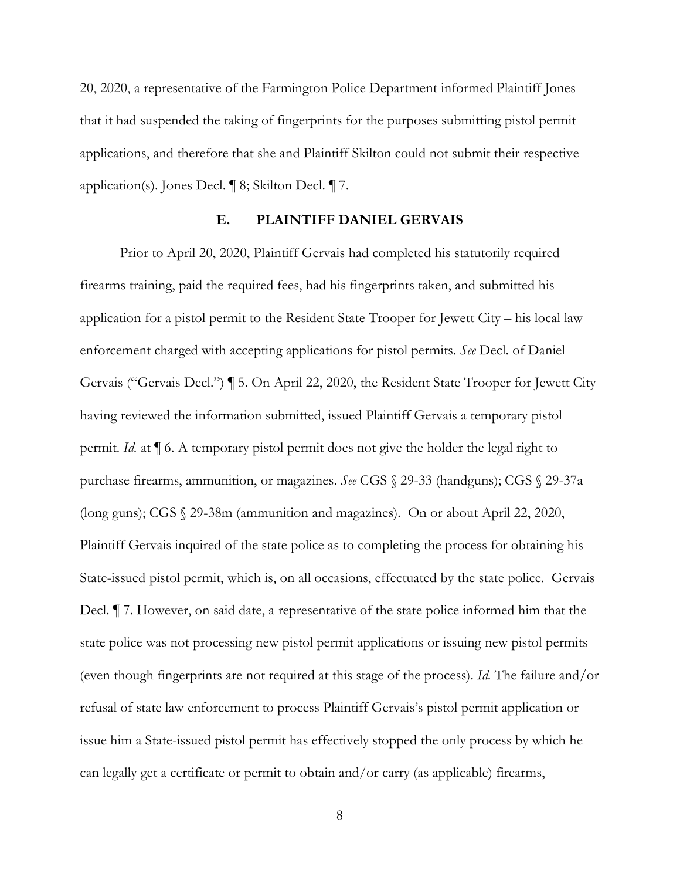20, 2020, a representative of the Farmington Police Department informed Plaintiff Jones that it had suspended the taking of fingerprints for the purposes submitting pistol permit applications, and therefore that she and Plaintiff Skilton could not submit their respective application(s). Jones Decl. ¶ 8; Skilton Decl. ¶ 7.

### **E. PLAINTIFF DANIEL GERVAIS**

Prior to April 20, 2020, Plaintiff Gervais had completed his statutorily required firearms training, paid the required fees, had his fingerprints taken, and submitted his application for a pistol permit to the Resident State Trooper for Jewett City – his local law enforcement charged with accepting applications for pistol permits. *See* Decl. of Daniel Gervais ("Gervais Decl.") ¶ 5. On April 22, 2020, the Resident State Trooper for Jewett City having reviewed the information submitted, issued Plaintiff Gervais a temporary pistol permit. *Id.* at ¶ 6. A temporary pistol permit does not give the holder the legal right to purchase firearms, ammunition, or magazines. *See* CGS § 29-33 (handguns); CGS § 29-37a (long guns); CGS § 29-38m (ammunition and magazines). On or about April 22, 2020, Plaintiff Gervais inquired of the state police as to completing the process for obtaining his State-issued pistol permit, which is, on all occasions, effectuated by the state police. Gervais Decl. ¶ 7. However, on said date, a representative of the state police informed him that the state police was not processing new pistol permit applications or issuing new pistol permits (even though fingerprints are not required at this stage of the process). *Id.* The failure and/or refusal of state law enforcement to process Plaintiff Gervais's pistol permit application or issue him a State-issued pistol permit has effectively stopped the only process by which he can legally get a certificate or permit to obtain and/or carry (as applicable) firearms,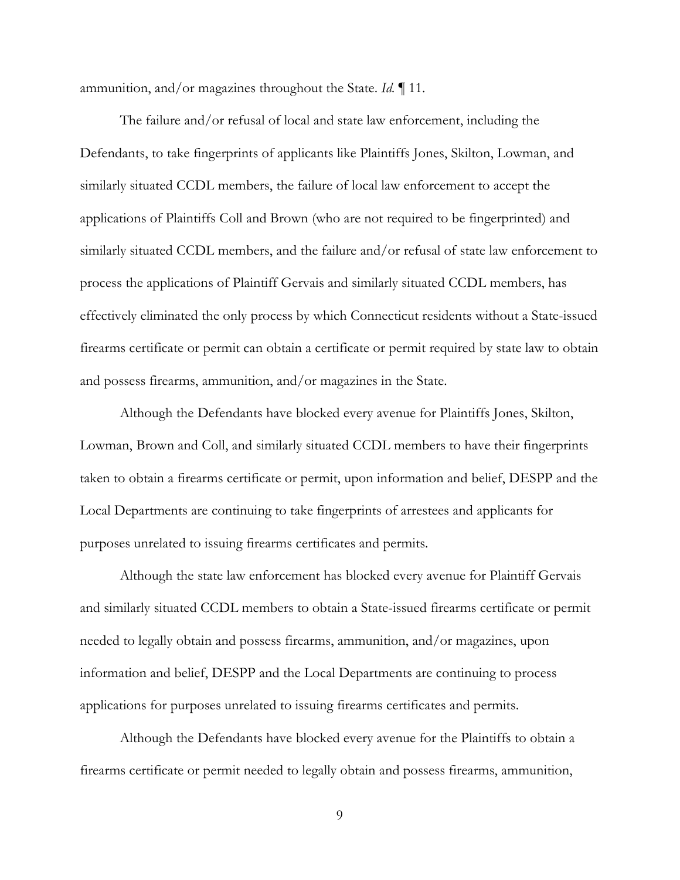ammunition, and/or magazines throughout the State. *Id.* ¶ 11.

The failure and/or refusal of local and state law enforcement, including the Defendants, to take fingerprints of applicants like Plaintiffs Jones, Skilton, Lowman, and similarly situated CCDL members, the failure of local law enforcement to accept the applications of Plaintiffs Coll and Brown (who are not required to be fingerprinted) and similarly situated CCDL members, and the failure and/or refusal of state law enforcement to process the applications of Plaintiff Gervais and similarly situated CCDL members, has effectively eliminated the only process by which Connecticut residents without a State-issued firearms certificate or permit can obtain a certificate or permit required by state law to obtain and possess firearms, ammunition, and/or magazines in the State.

Although the Defendants have blocked every avenue for Plaintiffs Jones, Skilton, Lowman, Brown and Coll, and similarly situated CCDL members to have their fingerprints taken to obtain a firearms certificate or permit, upon information and belief, DESPP and the Local Departments are continuing to take fingerprints of arrestees and applicants for purposes unrelated to issuing firearms certificates and permits.

Although the state law enforcement has blocked every avenue for Plaintiff Gervais and similarly situated CCDL members to obtain a State-issued firearms certificate or permit needed to legally obtain and possess firearms, ammunition, and/or magazines, upon information and belief, DESPP and the Local Departments are continuing to process applications for purposes unrelated to issuing firearms certificates and permits.

Although the Defendants have blocked every avenue for the Plaintiffs to obtain a firearms certificate or permit needed to legally obtain and possess firearms, ammunition,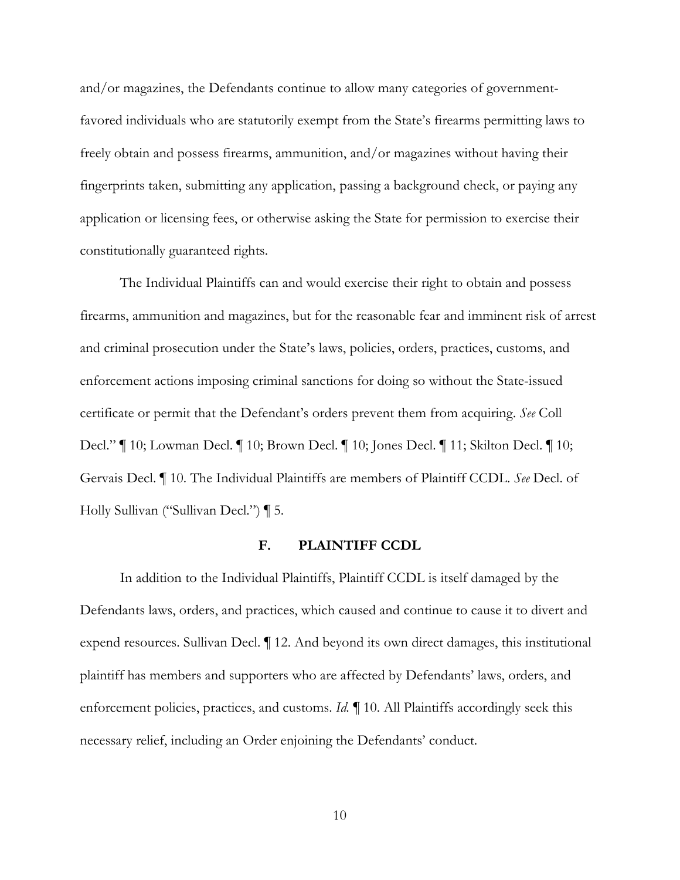and/or magazines, the Defendants continue to allow many categories of governmentfavored individuals who are statutorily exempt from the State's firearms permitting laws to freely obtain and possess firearms, ammunition, and/or magazines without having their fingerprints taken, submitting any application, passing a background check, or paying any application or licensing fees, or otherwise asking the State for permission to exercise their constitutionally guaranteed rights.

 The Individual Plaintiffs can and would exercise their right to obtain and possess firearms, ammunition and magazines, but for the reasonable fear and imminent risk of arrest and criminal prosecution under the State's laws, policies, orders, practices, customs, and enforcement actions imposing criminal sanctions for doing so without the State-issued certificate or permit that the Defendant's orders prevent them from acquiring. *See* Coll Decl." ¶ 10; Lowman Decl. ¶ 10; Brown Decl. ¶ 10; Jones Decl. ¶ 11; Skilton Decl. ¶ 10; Gervais Decl. ¶ 10. The Individual Plaintiffs are members of Plaintiff CCDL. *See* Decl. of Holly Sullivan ("Sullivan Decl.") ¶ 5.

#### **F. PLAINTIFF CCDL**

 In addition to the Individual Plaintiffs, Plaintiff CCDL is itself damaged by the Defendants laws, orders, and practices, which caused and continue to cause it to divert and expend resources. Sullivan Decl. ¶ 12. And beyond its own direct damages, this institutional plaintiff has members and supporters who are affected by Defendants' laws, orders, and enforcement policies, practices, and customs. *Id.* ¶ 10. All Plaintiffs accordingly seek this necessary relief, including an Order enjoining the Defendants' conduct.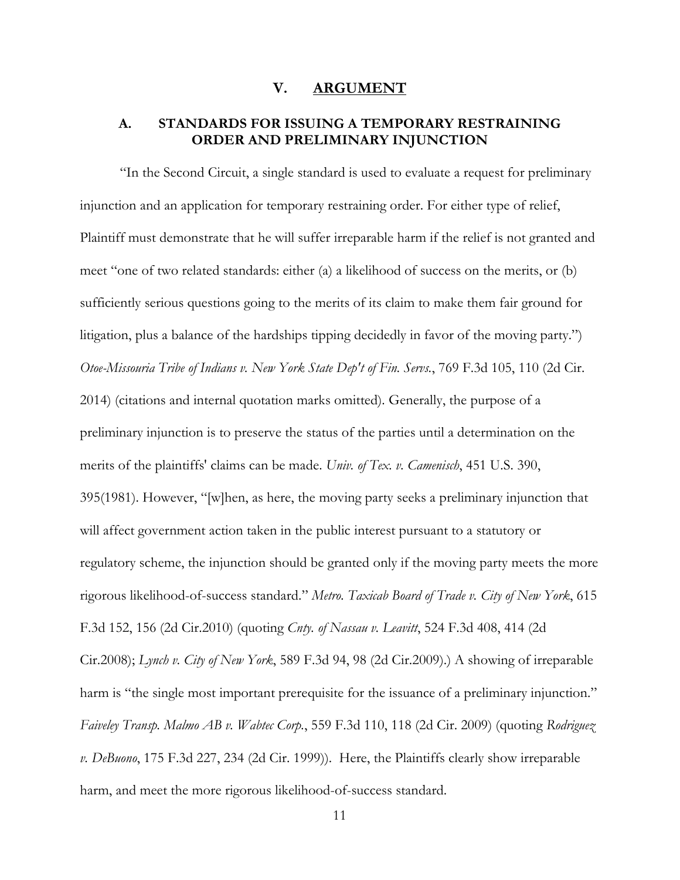#### **V. ARGUMENT**

## **A. STANDARDS FOR ISSUING A TEMPORARY RESTRAINING ORDER AND PRELIMINARY INJUNCTION**

"In the Second Circuit, a single standard is used to evaluate a request for preliminary injunction and an application for temporary restraining order. For either type of relief, Plaintiff must demonstrate that he will suffer irreparable harm if the relief is not granted and meet "one of two related standards: either (a) a likelihood of success on the merits, or (b) sufficiently serious questions going to the merits of its claim to make them fair ground for litigation, plus a balance of the hardships tipping decidedly in favor of the moving party.") *Otoe-Missouria Tribe of Indians v. New York State Dep't of Fin. Servs.*, 769 F.3d 105, 110 (2d Cir. 2014) (citations and internal quotation marks omitted). Generally, the purpose of a preliminary injunction is to preserve the status of the parties until a determination on the merits of the plaintiffs' claims can be made. *Univ. of Tex. v. Camenisch*, 451 U.S. 390, 395(1981). However, "[w]hen, as here, the moving party seeks a preliminary injunction that will affect government action taken in the public interest pursuant to a statutory or regulatory scheme, the injunction should be granted only if the moving party meets the more rigorous likelihood-of-success standard." *Metro. Taxicab Board of Trade v. City of New York*, 615 F.3d 152, 156 (2d Cir.2010) (quoting *Cnty. of Nassau v. Leavitt*, 524 F.3d 408, 414 (2d Cir.2008); *Lynch v. City of New York*, 589 F.3d 94, 98 (2d Cir.2009).) A showing of irreparable harm is "the single most important prerequisite for the issuance of a preliminary injunction." *Faiveley Transp. Malmo AB v. Wabtec Corp.*, 559 F.3d 110, 118 (2d Cir. 2009) (quoting *Rodriguez v. DeBuono*, 175 F.3d 227, 234 (2d Cir. 1999)). Here, the Plaintiffs clearly show irreparable harm, and meet the more rigorous likelihood-of-success standard.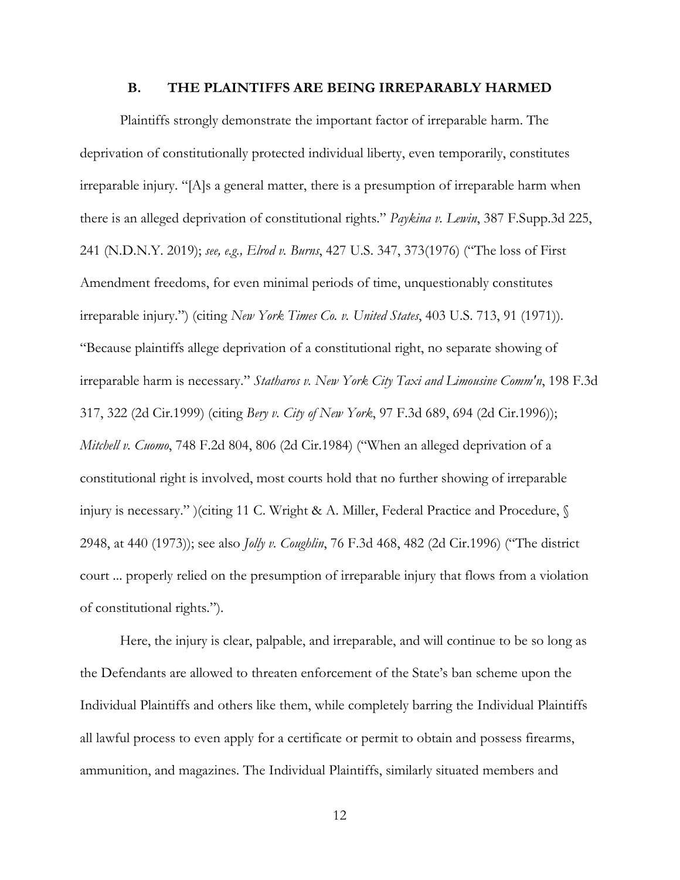#### **B. THE PLAINTIFFS ARE BEING IRREPARABLY HARMED**

Plaintiffs strongly demonstrate the important factor of irreparable harm. The deprivation of constitutionally protected individual liberty, even temporarily, constitutes irreparable injury. "[A]s a general matter, there is a presumption of irreparable harm when there is an alleged deprivation of constitutional rights." *Paykina v. Lewin*, 387 F.Supp.3d 225, 241 (N.D.N.Y. 2019); *see, e.g., Elrod v. Burns*, 427 U.S. 347, 373(1976) ("The loss of First Amendment freedoms, for even minimal periods of time, unquestionably constitutes irreparable injury.") (citing *New York Times Co. v. United States*, 403 U.S. 713, 91 (1971)). "Because plaintiffs allege deprivation of a constitutional right, no separate showing of irreparable harm is necessary." *Statharos v. New York City Taxi and Limousine Comm'n*, 198 F.3d 317, 322 (2d Cir.1999) (citing *Bery v. City of New York*, 97 F.3d 689, 694 (2d Cir.1996)); *Mitchell v. Cuomo*, 748 F.2d 804, 806 (2d Cir.1984) ("When an alleged deprivation of a constitutional right is involved, most courts hold that no further showing of irreparable injury is necessary." )(citing 11 C. Wright & A. Miller, Federal Practice and Procedure, § 2948, at 440 (1973)); see also *Jolly v. Coughlin*, 76 F.3d 468, 482 (2d Cir.1996) ("The district court ... properly relied on the presumption of irreparable injury that flows from a violation of constitutional rights.").

Here, the injury is clear, palpable, and irreparable, and will continue to be so long as the Defendants are allowed to threaten enforcement of the State's ban scheme upon the Individual Plaintiffs and others like them, while completely barring the Individual Plaintiffs all lawful process to even apply for a certificate or permit to obtain and possess firearms, ammunition, and magazines. The Individual Plaintiffs, similarly situated members and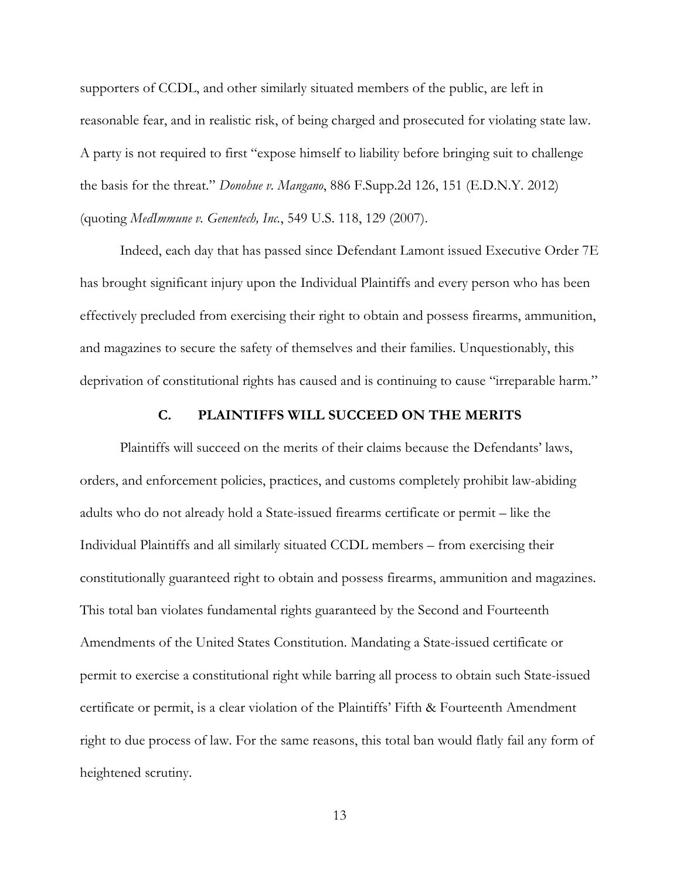supporters of CCDL, and other similarly situated members of the public, are left in reasonable fear, and in realistic risk, of being charged and prosecuted for violating state law. A party is not required to first "expose himself to liability before bringing suit to challenge the basis for the threat." *Donohue v. Mangano*, 886 F.Supp.2d 126, 151 (E.D.N.Y. 2012) (quoting *MedImmune v. Genentech, Inc.*, 549 U.S. 118, 129 (2007).

Indeed, each day that has passed since Defendant Lamont issued Executive Order 7E has brought significant injury upon the Individual Plaintiffs and every person who has been effectively precluded from exercising their right to obtain and possess firearms, ammunition, and magazines to secure the safety of themselves and their families. Unquestionably, this deprivation of constitutional rights has caused and is continuing to cause "irreparable harm."

#### **C. PLAINTIFFS WILL SUCCEED ON THE MERITS**

Plaintiffs will succeed on the merits of their claims because the Defendants' laws, orders, and enforcement policies, practices, and customs completely prohibit law-abiding adults who do not already hold a State-issued firearms certificate or permit – like the Individual Plaintiffs and all similarly situated CCDL members – from exercising their constitutionally guaranteed right to obtain and possess firearms, ammunition and magazines. This total ban violates fundamental rights guaranteed by the Second and Fourteenth Amendments of the United States Constitution. Mandating a State-issued certificate or permit to exercise a constitutional right while barring all process to obtain such State-issued certificate or permit, is a clear violation of the Plaintiffs' Fifth & Fourteenth Amendment right to due process of law. For the same reasons, this total ban would flatly fail any form of heightened scrutiny.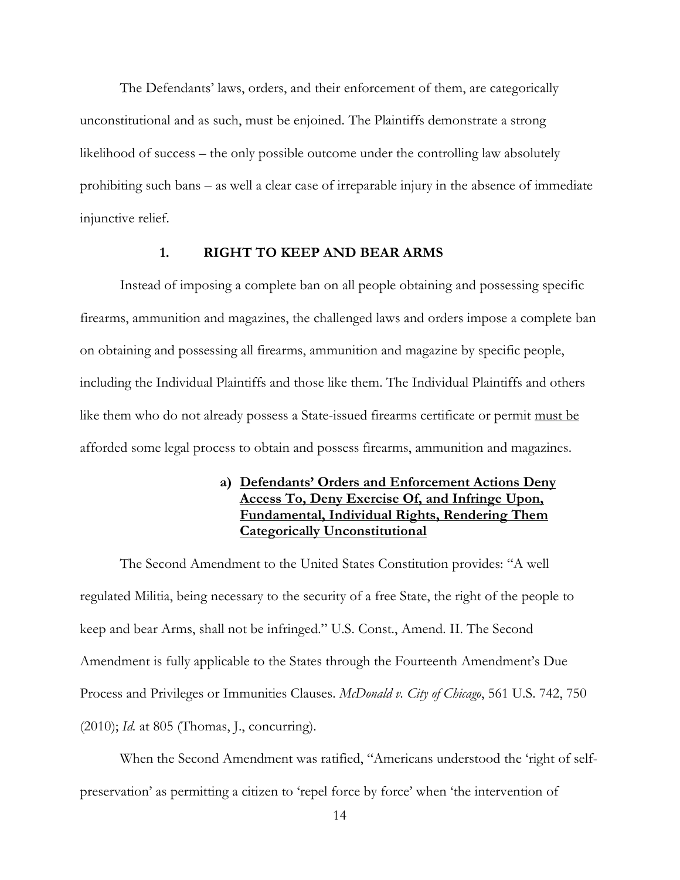The Defendants' laws, orders, and their enforcement of them, are categorically unconstitutional and as such, must be enjoined. The Plaintiffs demonstrate a strong likelihood of success – the only possible outcome under the controlling law absolutely prohibiting such bans – as well a clear case of irreparable injury in the absence of immediate injunctive relief.

### **1. RIGHT TO KEEP AND BEAR ARMS**

Instead of imposing a complete ban on all people obtaining and possessing specific firearms, ammunition and magazines, the challenged laws and orders impose a complete ban on obtaining and possessing all firearms, ammunition and magazine by specific people, including the Individual Plaintiffs and those like them. The Individual Plaintiffs and others like them who do not already possess a State-issued firearms certificate or permit must be afforded some legal process to obtain and possess firearms, ammunition and magazines.

## **a) Defendants' Orders and Enforcement Actions Deny Access To, Deny Exercise Of, and Infringe Upon, Fundamental, Individual Rights, Rendering Them Categorically Unconstitutional**

The Second Amendment to the United States Constitution provides: "A well regulated Militia, being necessary to the security of a free State, the right of the people to keep and bear Arms, shall not be infringed." U.S. Const., Amend. II. The Second Amendment is fully applicable to the States through the Fourteenth Amendment's Due Process and Privileges or Immunities Clauses. *McDonald v. City of Chicago*, 561 U.S. 742, 750 (2010); *Id.* at 805 (Thomas, J., concurring).

When the Second Amendment was ratified, "Americans understood the 'right of selfpreservation' as permitting a citizen to 'repel force by force' when 'the intervention of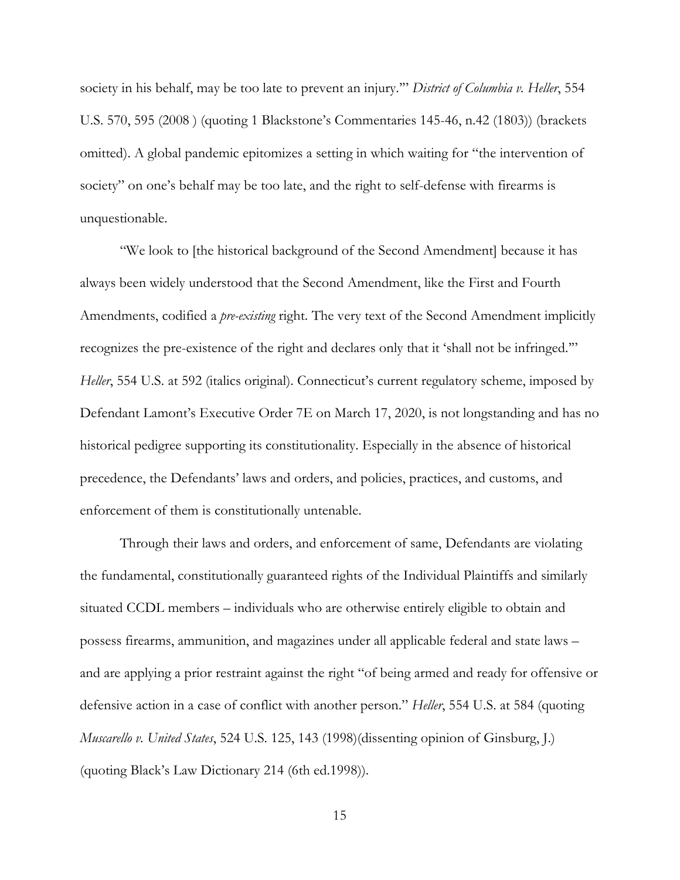society in his behalf, may be too late to prevent an injury.'" *District of Columbia v. Heller*, 554 U.S. 570, 595 (2008 ) (quoting 1 Blackstone's Commentaries 145-46, n.42 (1803)) (brackets omitted). A global pandemic epitomizes a setting in which waiting for "the intervention of society" on one's behalf may be too late, and the right to self-defense with firearms is unquestionable.

 "We look to [the historical background of the Second Amendment] because it has always been widely understood that the Second Amendment, like the First and Fourth Amendments, codified a *pre-existing* right. The very text of the Second Amendment implicitly recognizes the pre-existence of the right and declares only that it 'shall not be infringed.'" *Heller*, 554 U.S. at 592 (italics original). Connecticut's current regulatory scheme, imposed by Defendant Lamont's Executive Order 7E on March 17, 2020, is not longstanding and has no historical pedigree supporting its constitutionality. Especially in the absence of historical precedence, the Defendants' laws and orders, and policies, practices, and customs, and enforcement of them is constitutionally untenable.

Through their laws and orders, and enforcement of same, Defendants are violating the fundamental, constitutionally guaranteed rights of the Individual Plaintiffs and similarly situated CCDL members – individuals who are otherwise entirely eligible to obtain and possess firearms, ammunition, and magazines under all applicable federal and state laws – and are applying a prior restraint against the right "of being armed and ready for offensive or defensive action in a case of conflict with another person." *Heller*, 554 U.S. at 584 (quoting *Muscarello v. United States*, 524 U.S. 125, 143 (1998)(dissenting opinion of Ginsburg, J.) (quoting Black's Law Dictionary 214 (6th ed.1998)).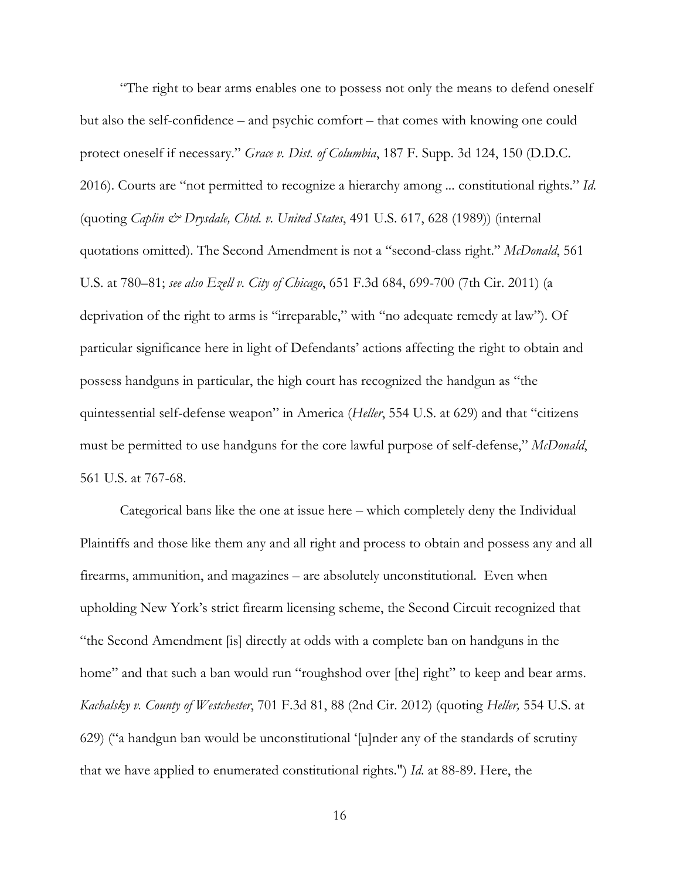"The right to bear arms enables one to possess not only the means to defend oneself but also the self-confidence – and psychic comfort – that comes with knowing one could protect oneself if necessary." *Grace v. Dist. of Columbia*, 187 F. Supp. 3d 124, 150 (D.D.C. 2016). Courts are "not permitted to recognize a hierarchy among ... constitutional rights." *Id.* (quoting *Caplin & Drysdale, Chtd. v. United States*, 491 U.S. 617, 628 (1989)) (internal quotations omitted). The Second Amendment is not a "second-class right." *McDonald*, 561 U.S. at 780–81; *see also Ezell v. City of Chicago*, 651 F.3d 684, 699-700 (7th Cir. 2011) (a deprivation of the right to arms is "irreparable," with "no adequate remedy at law"). Of particular significance here in light of Defendants' actions affecting the right to obtain and possess handguns in particular, the high court has recognized the handgun as "the quintessential self-defense weapon" in America (*Heller*, 554 U.S. at 629) and that "citizens must be permitted to use handguns for the core lawful purpose of self-defense," *McDonald*, 561 U.S. at 767-68.

Categorical bans like the one at issue here – which completely deny the Individual Plaintiffs and those like them any and all right and process to obtain and possess any and all firearms, ammunition, and magazines – are absolutely unconstitutional. Even when upholding New York's strict firearm licensing scheme, the Second Circuit recognized that "the Second Amendment [is] directly at odds with a complete ban on handguns in the home" and that such a ban would run "roughshod over [the] right" to keep and bear arms. *Kachalsky v. County of Westchester*, 701 F.3d 81, 88 (2nd Cir. 2012) (quoting *Heller,* 554 U.S. at 629) ("a handgun ban would be unconstitutional '[u]nder any of the standards of scrutiny that we have applied to enumerated constitutional rights.") *Id*. at 88-89. Here, the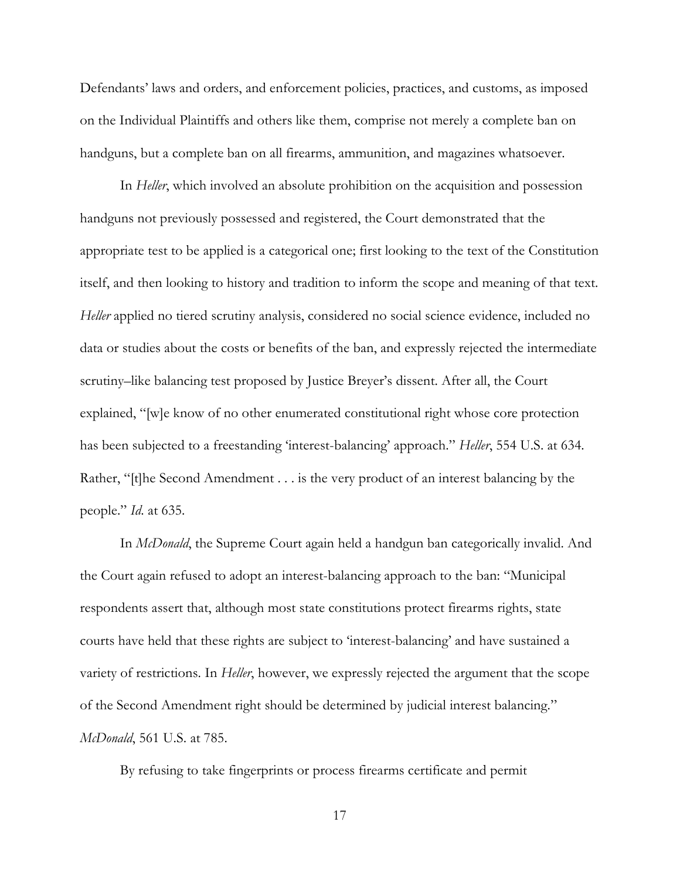Defendants' laws and orders, and enforcement policies, practices, and customs, as imposed on the Individual Plaintiffs and others like them, comprise not merely a complete ban on handguns, but a complete ban on all firearms, ammunition, and magazines whatsoever.

In *Heller*, which involved an absolute prohibition on the acquisition and possession handguns not previously possessed and registered, the Court demonstrated that the appropriate test to be applied is a categorical one; first looking to the text of the Constitution itself, and then looking to history and tradition to inform the scope and meaning of that text. *Heller* applied no tiered scrutiny analysis, considered no social science evidence, included no data or studies about the costs or benefits of the ban, and expressly rejected the intermediate scrutiny–like balancing test proposed by Justice Breyer's dissent. After all, the Court explained, "[w]e know of no other enumerated constitutional right whose core protection has been subjected to a freestanding 'interest-balancing' approach." *Heller*, 554 U.S. at 634. Rather, "[t]he Second Amendment . . . is the very product of an interest balancing by the people." *Id*. at 635.

In *McDonald*, the Supreme Court again held a handgun ban categorically invalid. And the Court again refused to adopt an interest-balancing approach to the ban: "Municipal respondents assert that, although most state constitutions protect firearms rights, state courts have held that these rights are subject to 'interest-balancing' and have sustained a variety of restrictions. In *Heller*, however, we expressly rejected the argument that the scope of the Second Amendment right should be determined by judicial interest balancing." *McDonald*, 561 U.S. at 785.

By refusing to take fingerprints or process firearms certificate and permit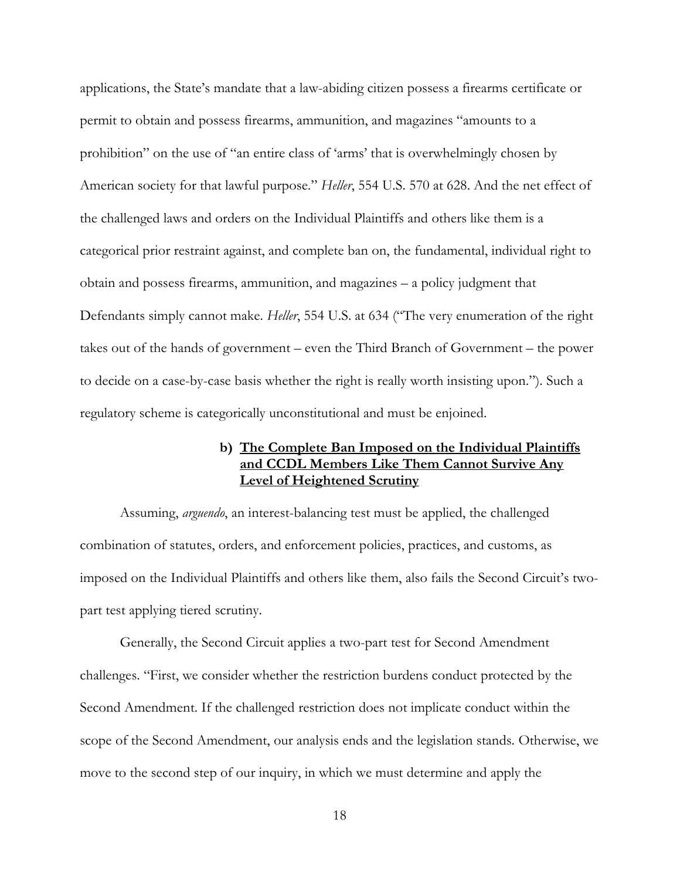applications, the State's mandate that a law-abiding citizen possess a firearms certificate or permit to obtain and possess firearms, ammunition, and magazines "amounts to a prohibition" on the use of "an entire class of 'arms' that is overwhelmingly chosen by American society for that lawful purpose." *Heller*, 554 U.S. 570 at 628. And the net effect of the challenged laws and orders on the Individual Plaintiffs and others like them is a categorical prior restraint against, and complete ban on, the fundamental, individual right to obtain and possess firearms, ammunition, and magazines – a policy judgment that Defendants simply cannot make. *Heller*, 554 U.S. at 634 ("The very enumeration of the right takes out of the hands of government – even the Third Branch of Government – the power to decide on a case-by-case basis whether the right is really worth insisting upon."). Such a regulatory scheme is categorically unconstitutional and must be enjoined.

## **b) The Complete Ban Imposed on the Individual Plaintiffs and CCDL Members Like Them Cannot Survive Any Level of Heightened Scrutiny**

Assuming, *arguendo*, an interest-balancing test must be applied, the challenged combination of statutes, orders, and enforcement policies, practices, and customs, as imposed on the Individual Plaintiffs and others like them, also fails the Second Circuit's twopart test applying tiered scrutiny.

Generally, the Second Circuit applies a two-part test for Second Amendment challenges. "First, we consider whether the restriction burdens conduct protected by the Second Amendment. If the challenged restriction does not implicate conduct within the scope of the Second Amendment, our analysis ends and the legislation stands. Otherwise, we move to the second step of our inquiry, in which we must determine and apply the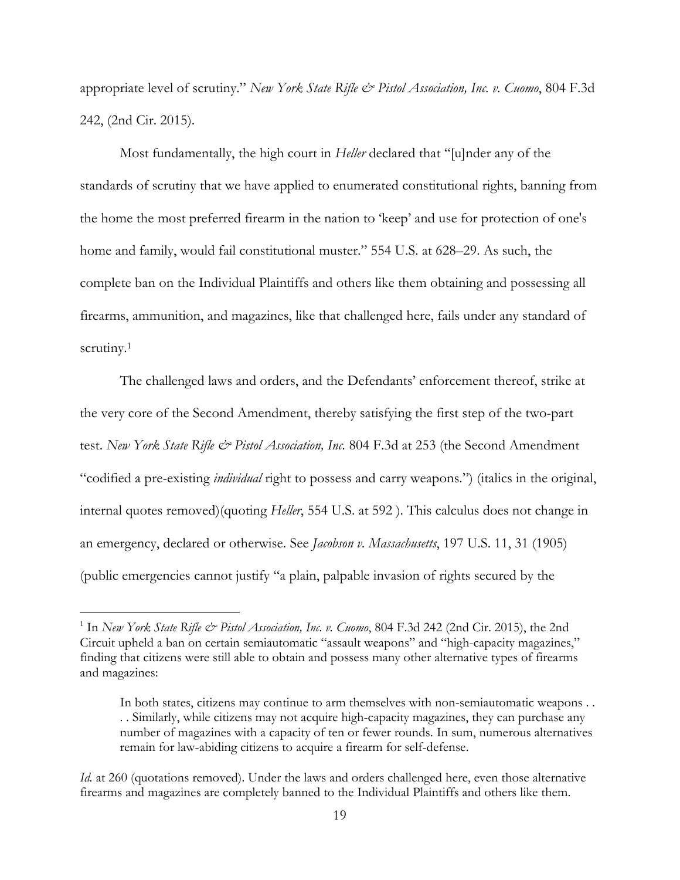appropriate level of scrutiny." *New York State Rifle & Pistol Association, Inc. v. Cuomo*, 804 F.3d 242, (2nd Cir. 2015).

Most fundamentally, the high court in *Heller* declared that "[u]nder any of the standards of scrutiny that we have applied to enumerated constitutional rights, banning from the home the most preferred firearm in the nation to 'keep' and use for protection of one's home and family, would fail constitutional muster." 554 U.S. at 628–29. As such, the complete ban on the Individual Plaintiffs and others like them obtaining and possessing all firearms, ammunition, and magazines, like that challenged here, fails under any standard of scrutiny.<sup>1</sup>

The challenged laws and orders, and the Defendants' enforcement thereof, strike at the very core of the Second Amendment, thereby satisfying the first step of the two-part test. *New York State Rifle & Pistol Association, Inc.* 804 F.3d at 253 (the Second Amendment "codified a pre-existing *individual* right to possess and carry weapons.") (italics in the original, internal quotes removed)(quoting *Heller*, 554 U.S. at 592 ). This calculus does not change in an emergency, declared or otherwise. See *Jacobson v. Massachusetts*, 197 U.S. 11, 31 (1905) (public emergencies cannot justify "a plain, palpable invasion of rights secured by the

 $\overline{a}$ 

<sup>&</sup>lt;sup>1</sup> In *New York State Rifle & Pistol Association, Inc. v. Cuomo*, 804 F.3d 242 (2nd Cir. 2015), the 2nd Circuit upheld a ban on certain semiautomatic "assault weapons" and "high-capacity magazines," finding that citizens were still able to obtain and possess many other alternative types of firearms and magazines:

In both states, citizens may continue to arm themselves with non-semiautomatic weapons . . . . Similarly, while citizens may not acquire high-capacity magazines, they can purchase any number of magazines with a capacity of ten or fewer rounds. In sum, numerous alternatives remain for law-abiding citizens to acquire a firearm for self-defense.

*Id.* at 260 (quotations removed). Under the laws and orders challenged here, even those alternative firearms and magazines are completely banned to the Individual Plaintiffs and others like them.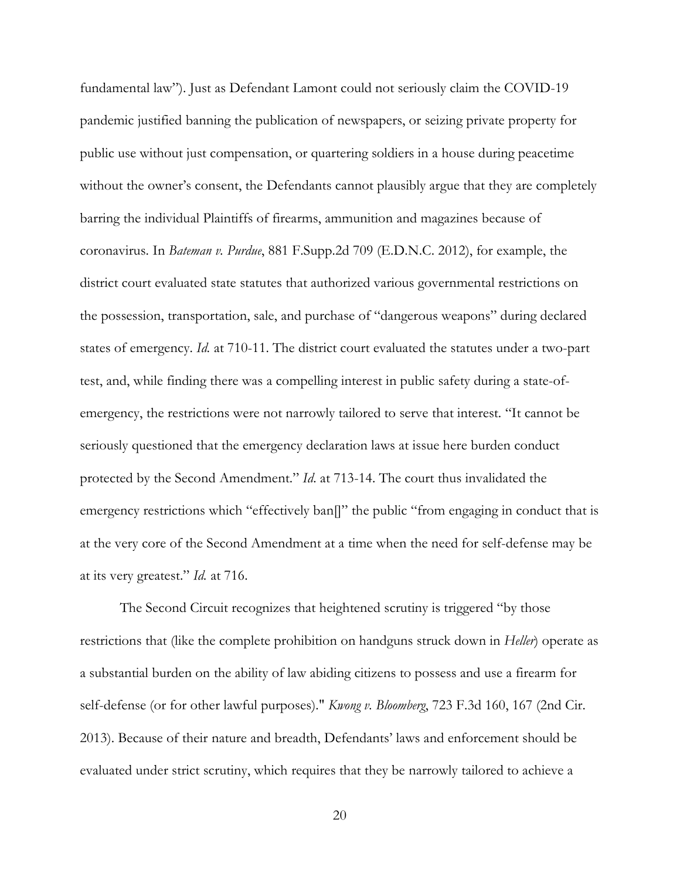fundamental law"). Just as Defendant Lamont could not seriously claim the COVID-19 pandemic justified banning the publication of newspapers, or seizing private property for public use without just compensation, or quartering soldiers in a house during peacetime without the owner's consent, the Defendants cannot plausibly argue that they are completely barring the individual Plaintiffs of firearms, ammunition and magazines because of coronavirus. In *Bateman v. Purdue*, 881 F.Supp.2d 709 (E.D.N.C. 2012), for example, the district court evaluated state statutes that authorized various governmental restrictions on the possession, transportation, sale, and purchase of "dangerous weapons" during declared states of emergency. *Id.* at 710-11. The district court evaluated the statutes under a two-part test, and, while finding there was a compelling interest in public safety during a state-ofemergency, the restrictions were not narrowly tailored to serve that interest. "It cannot be seriously questioned that the emergency declaration laws at issue here burden conduct protected by the Second Amendment." *Id*. at 713-14. The court thus invalidated the emergency restrictions which "effectively ban[]" the public "from engaging in conduct that is at the very core of the Second Amendment at a time when the need for self-defense may be at its very greatest." *Id.* at 716.

The Second Circuit recognizes that heightened scrutiny is triggered "by those restrictions that (like the complete prohibition on handguns struck down in *Heller*) operate as a substantial burden on the ability of law abiding citizens to possess and use a firearm for self-defense (or for other lawful purposes)." *Kwong v. Bloomberg*, 723 F.3d 160, 167 (2nd Cir. 2013). Because of their nature and breadth, Defendants' laws and enforcement should be evaluated under strict scrutiny, which requires that they be narrowly tailored to achieve a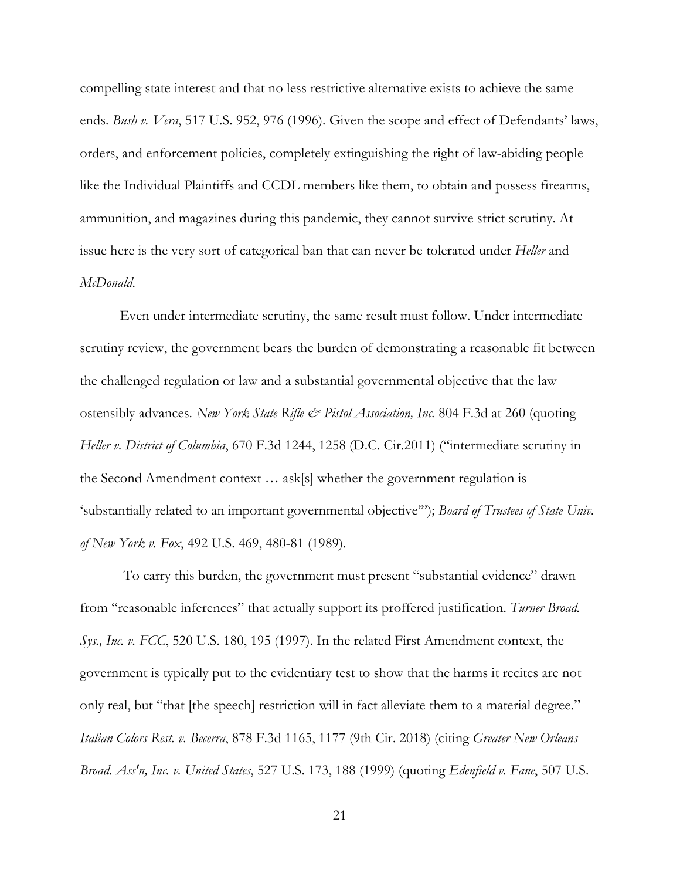compelling state interest and that no less restrictive alternative exists to achieve the same ends. *Bush v. Vera*, 517 U.S. 952, 976 (1996). Given the scope and effect of Defendants' laws, orders, and enforcement policies, completely extinguishing the right of law-abiding people like the Individual Plaintiffs and CCDL members like them, to obtain and possess firearms, ammunition, and magazines during this pandemic, they cannot survive strict scrutiny. At issue here is the very sort of categorical ban that can never be tolerated under *Heller* and *McDonald*.

Even under intermediate scrutiny, the same result must follow. Under intermediate scrutiny review, the government bears the burden of demonstrating a reasonable fit between the challenged regulation or law and a substantial governmental objective that the law ostensibly advances. *New York State Rifle & Pistol Association, Inc.* 804 F.3d at 260 (quoting *Heller v. District of Columbia*, 670 F.3d 1244, 1258 (D.C. Cir.2011) ("intermediate scrutiny in the Second Amendment context … ask[s] whether the government regulation is 'substantially related to an important governmental objective'"); *Board of Trustees of State Univ. of New York v. Fox*, 492 U.S. 469, 480-81 (1989).

 To carry this burden, the government must present "substantial evidence" drawn from "reasonable inferences" that actually support its proffered justification. *Turner Broad. Sys., Inc. v. FCC*, 520 U.S. 180, 195 (1997). In the related First Amendment context, the government is typically put to the evidentiary test to show that the harms it recites are not only real, but "that [the speech] restriction will in fact alleviate them to a material degree." *Italian Colors Rest. v. Becerra*, 878 F.3d 1165, 1177 (9th Cir. 2018) (citing *Greater New Orleans Broad. Ass'n, Inc. v. United States*, 527 U.S. 173, 188 (1999) (quoting *Edenfield v. Fane*, 507 U.S.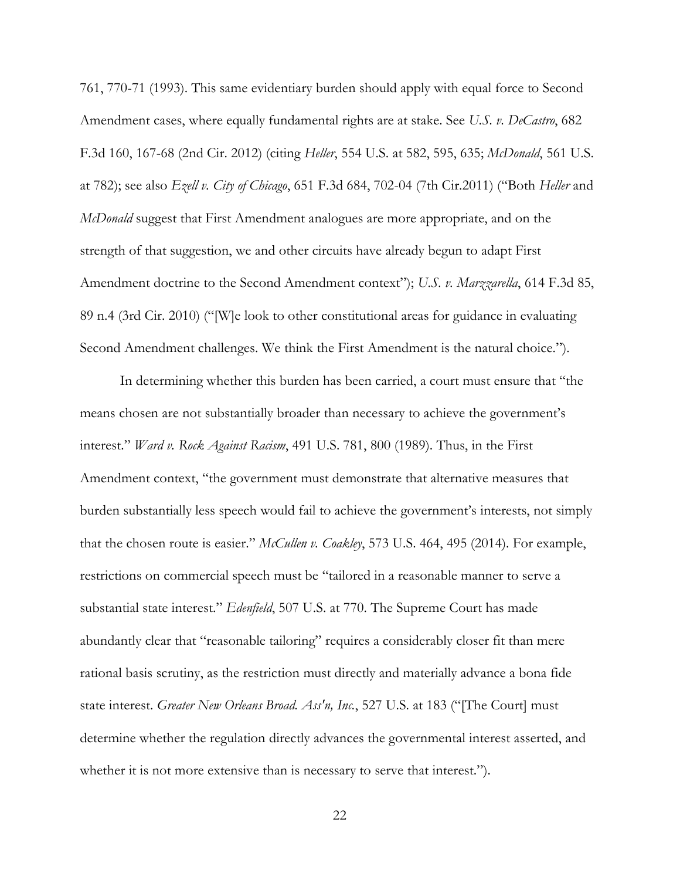761, 770-71 (1993). This same evidentiary burden should apply with equal force to Second Amendment cases, where equally fundamental rights are at stake. See *U.S. v. DeCastro*, 682 F.3d 160, 167-68 (2nd Cir. 2012) (citing *Heller*, 554 U.S. at 582, 595, 635; *McDonald*, 561 U.S. at 782); see also *Ezell v. City of Chicago*, 651 F.3d 684, 702-04 (7th Cir.2011) ("Both *Heller* and *McDonald* suggest that First Amendment analogues are more appropriate, and on the strength of that suggestion, we and other circuits have already begun to adapt First Amendment doctrine to the Second Amendment context"); *U.S. v. Marzzarella*, 614 F.3d 85, 89 n.4 (3rd Cir. 2010) ("[W]e look to other constitutional areas for guidance in evaluating Second Amendment challenges. We think the First Amendment is the natural choice.").

In determining whether this burden has been carried, a court must ensure that "the means chosen are not substantially broader than necessary to achieve the government's interest." *Ward v. Rock Against Racism*, 491 U.S. 781, 800 (1989). Thus, in the First Amendment context, "the government must demonstrate that alternative measures that burden substantially less speech would fail to achieve the government's interests, not simply that the chosen route is easier." *McCullen v. Coakley*, 573 U.S. 464, 495 (2014). For example, restrictions on commercial speech must be "tailored in a reasonable manner to serve a substantial state interest." *Edenfield*, 507 U.S. at 770. The Supreme Court has made abundantly clear that "reasonable tailoring" requires a considerably closer fit than mere rational basis scrutiny, as the restriction must directly and materially advance a bona fide state interest. *Greater New Orleans Broad. Ass'n, Inc.*, 527 U.S. at 183 ("[The Court] must determine whether the regulation directly advances the governmental interest asserted, and whether it is not more extensive than is necessary to serve that interest.").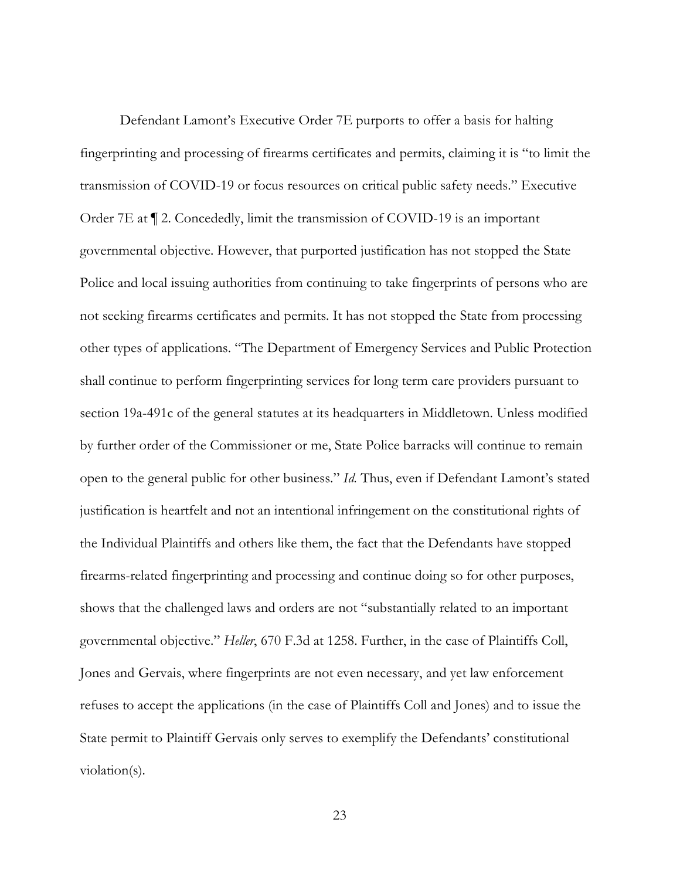Defendant Lamont's Executive Order 7E purports to offer a basis for halting fingerprinting and processing of firearms certificates and permits, claiming it is "to limit the transmission of COVID-19 or focus resources on critical public safety needs." Executive Order 7E at ¶ 2. Concededly, limit the transmission of COVID-19 is an important governmental objective. However, that purported justification has not stopped the State Police and local issuing authorities from continuing to take fingerprints of persons who are not seeking firearms certificates and permits. It has not stopped the State from processing other types of applications. "The Department of Emergency Services and Public Protection shall continue to perform fingerprinting services for long term care providers pursuant to section 19a-491c of the general statutes at its headquarters in Middletown. Unless modified by further order of the Commissioner or me, State Police barracks will continue to remain open to the general public for other business." *Id.* Thus, even if Defendant Lamont's stated justification is heartfelt and not an intentional infringement on the constitutional rights of the Individual Plaintiffs and others like them, the fact that the Defendants have stopped firearms-related fingerprinting and processing and continue doing so for other purposes, shows that the challenged laws and orders are not "substantially related to an important governmental objective." *Heller*, 670 F.3d at 1258. Further, in the case of Plaintiffs Coll, Jones and Gervais, where fingerprints are not even necessary, and yet law enforcement refuses to accept the applications (in the case of Plaintiffs Coll and Jones) and to issue the State permit to Plaintiff Gervais only serves to exemplify the Defendants' constitutional violation(s).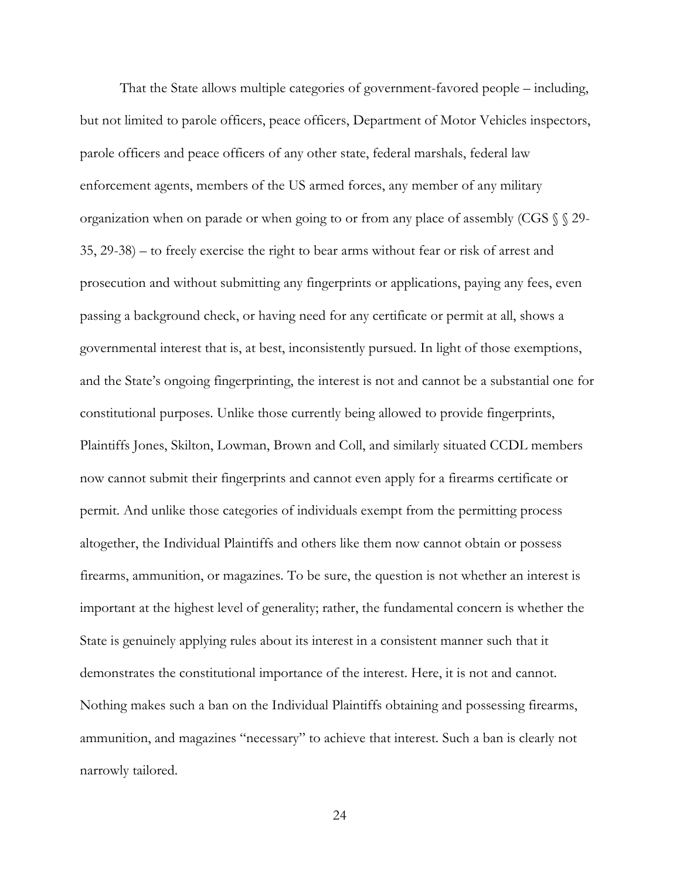That the State allows multiple categories of government-favored people – including, but not limited to parole officers, peace officers, Department of Motor Vehicles inspectors, parole officers and peace officers of any other state, federal marshals, federal law enforcement agents, members of the US armed forces, any member of any military organization when on parade or when going to or from any place of assembly (CGS § § 29- 35, 29-38) – to freely exercise the right to bear arms without fear or risk of arrest and prosecution and without submitting any fingerprints or applications, paying any fees, even passing a background check, or having need for any certificate or permit at all, shows a governmental interest that is, at best, inconsistently pursued. In light of those exemptions, and the State's ongoing fingerprinting, the interest is not and cannot be a substantial one for constitutional purposes. Unlike those currently being allowed to provide fingerprints, Plaintiffs Jones, Skilton, Lowman, Brown and Coll, and similarly situated CCDL members now cannot submit their fingerprints and cannot even apply for a firearms certificate or permit. And unlike those categories of individuals exempt from the permitting process altogether, the Individual Plaintiffs and others like them now cannot obtain or possess firearms, ammunition, or magazines. To be sure, the question is not whether an interest is important at the highest level of generality; rather, the fundamental concern is whether the State is genuinely applying rules about its interest in a consistent manner such that it demonstrates the constitutional importance of the interest. Here, it is not and cannot. Nothing makes such a ban on the Individual Plaintiffs obtaining and possessing firearms, ammunition, and magazines "necessary" to achieve that interest. Such a ban is clearly not narrowly tailored.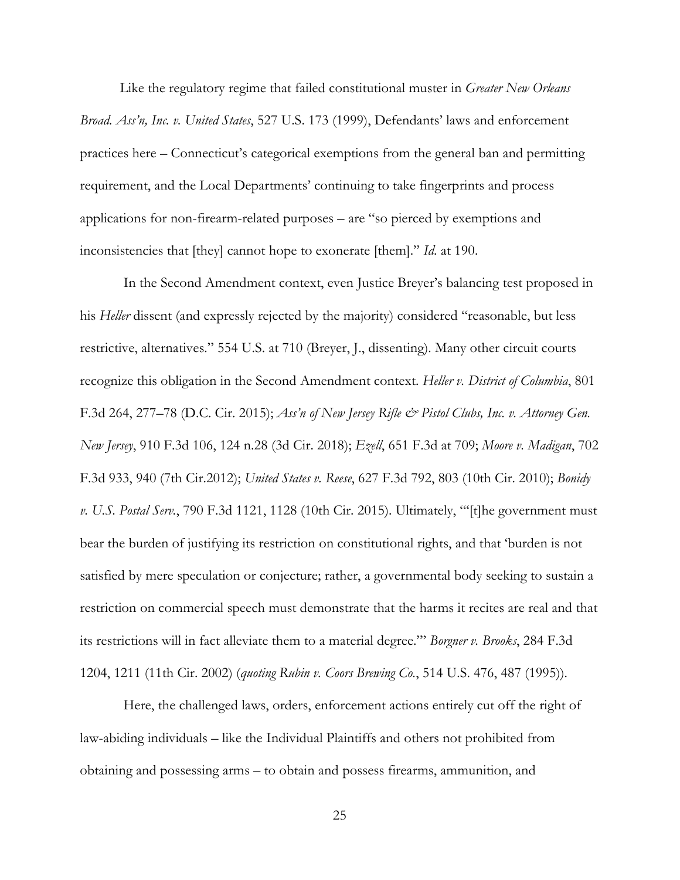Like the regulatory regime that failed constitutional muster in *Greater New Orleans Broad. Ass'n, Inc. v. United States*, 527 U.S. 173 (1999), Defendants' laws and enforcement practices here – Connecticut's categorical exemptions from the general ban and permitting requirement, and the Local Departments' continuing to take fingerprints and process applications for non-firearm-related purposes – are "so pierced by exemptions and inconsistencies that [they] cannot hope to exonerate [them]." *Id*. at 190.

 In the Second Amendment context, even Justice Breyer's balancing test proposed in his *Heller* dissent (and expressly rejected by the majority) considered "reasonable, but less restrictive, alternatives." 554 U.S. at 710 (Breyer, J., dissenting). Many other circuit courts recognize this obligation in the Second Amendment context. *Heller v. District of Columbia*, 801 F.3d 264, 277–78 (D.C. Cir. 2015); *Ass'n of New Jersey Rifle & Pistol Clubs, Inc. v. Attorney Gen. New Jersey*, 910 F.3d 106, 124 n.28 (3d Cir. 2018); *Ezell*, 651 F.3d at 709; *Moore v. Madigan*, 702 F.3d 933, 940 (7th Cir.2012); *United States v. Reese*, 627 F.3d 792, 803 (10th Cir. 2010); *Bonidy v. U.S. Postal Serv.*, 790 F.3d 1121, 1128 (10th Cir. 2015). Ultimately, "'[t]he government must bear the burden of justifying its restriction on constitutional rights, and that 'burden is not satisfied by mere speculation or conjecture; rather, a governmental body seeking to sustain a restriction on commercial speech must demonstrate that the harms it recites are real and that its restrictions will in fact alleviate them to a material degree."' *Borgner v. Brooks*, 284 F.3d 1204, 1211 (11th Cir. 2002) (*quoting Rubin v. Coors Brewing Co.*, 514 U.S. 476, 487 (1995)).

 Here, the challenged laws, orders, enforcement actions entirely cut off the right of law-abiding individuals – like the Individual Plaintiffs and others not prohibited from obtaining and possessing arms – to obtain and possess firearms, ammunition, and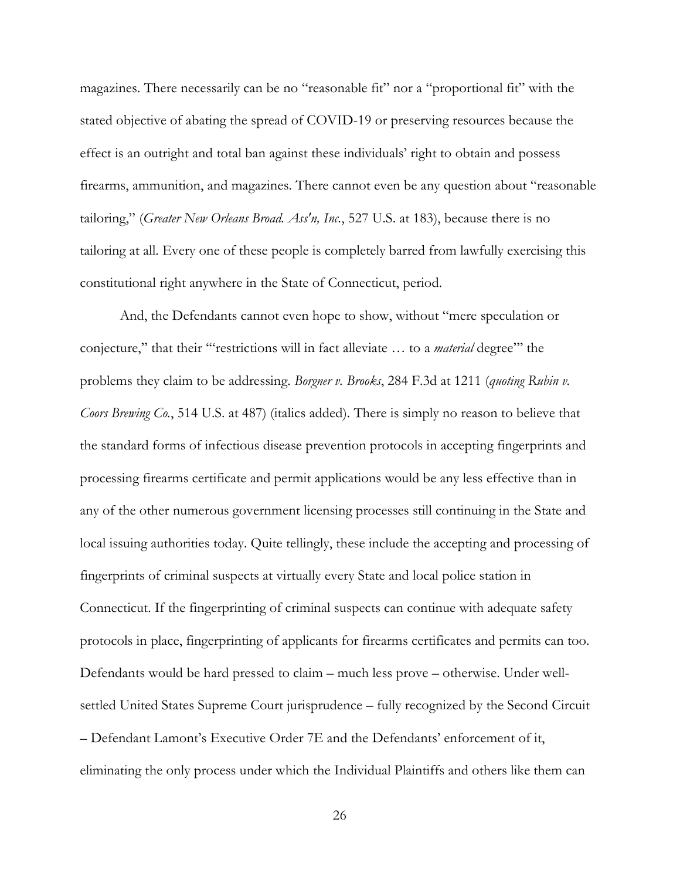magazines. There necessarily can be no "reasonable fit" nor a "proportional fit" with the stated objective of abating the spread of COVID-19 or preserving resources because the effect is an outright and total ban against these individuals' right to obtain and possess firearms, ammunition, and magazines. There cannot even be any question about "reasonable tailoring," (*Greater New Orleans Broad. Ass'n, Inc.*, 527 U.S. at 183), because there is no tailoring at all. Every one of these people is completely barred from lawfully exercising this constitutional right anywhere in the State of Connecticut, period.

And, the Defendants cannot even hope to show, without "mere speculation or conjecture," that their '"restrictions will in fact alleviate … to a *material* degree"' the problems they claim to be addressing. *Borgner v. Brooks*, 284 F.3d at 1211 (*quoting Rubin v. Coors Brewing Co.*, 514 U.S. at 487) (italics added). There is simply no reason to believe that the standard forms of infectious disease prevention protocols in accepting fingerprints and processing firearms certificate and permit applications would be any less effective than in any of the other numerous government licensing processes still continuing in the State and local issuing authorities today. Quite tellingly, these include the accepting and processing of fingerprints of criminal suspects at virtually every State and local police station in Connecticut. If the fingerprinting of criminal suspects can continue with adequate safety protocols in place, fingerprinting of applicants for firearms certificates and permits can too. Defendants would be hard pressed to claim – much less prove – otherwise. Under wellsettled United States Supreme Court jurisprudence – fully recognized by the Second Circuit – Defendant Lamont's Executive Order 7E and the Defendants' enforcement of it, eliminating the only process under which the Individual Plaintiffs and others like them can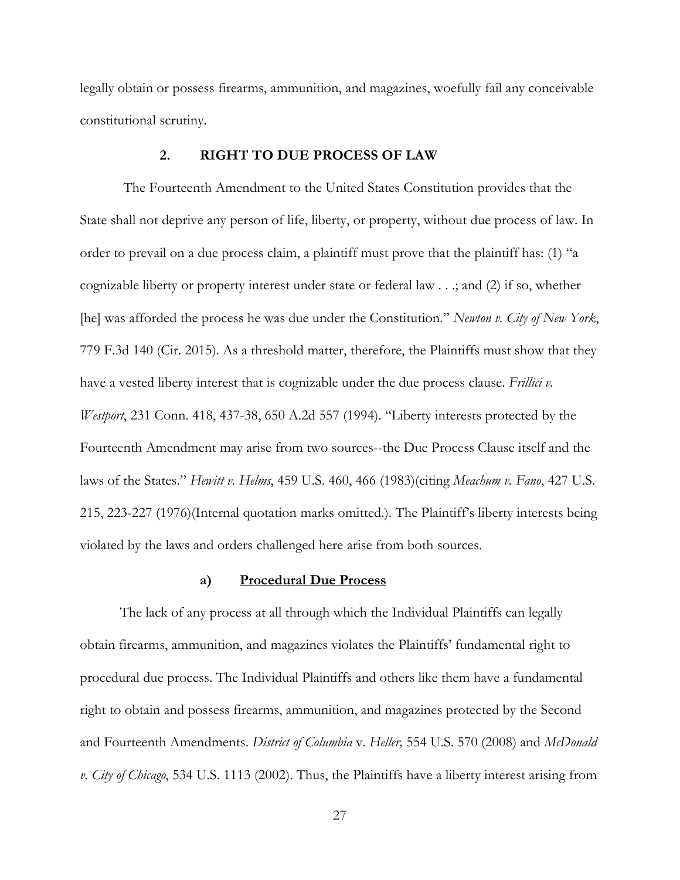legally obtain or possess firearms, ammunition, and magazines, woefully fail any conceivable constitutional scrutiny.

#### **2. RIGHT TO DUE PROCESS OF LAW**

 The Fourteenth Amendment to the United States Constitution provides that the State shall not deprive any person of life, liberty, or property, without due process of law. In order to prevail on a due process claim, a plaintiff must prove that the plaintiff has: (1) "a cognizable liberty or property interest under state or federal law . . .; and (2) if so, whether [he] was afforded the process he was due under the Constitution." *Newton v. City of New York*, 779 F.3d 140 (Cir. 2015). As a threshold matter, therefore, the Plaintiffs must show that they have a vested liberty interest that is cognizable under the due process clause. *Frillici v. Westport*, 231 Conn. 418, 437-38, 650 A.2d 557 (1994). "Liberty interests protected by the Fourteenth Amendment may arise from two sources--the Due Process Clause itself and the laws of the States." *Hewitt v. Helms*, 459 U.S. 460, 466 (1983)(citing *Meachum v. Fano*, 427 U.S. 215, 223-227 (1976)(Internal quotation marks omitted.). The Plaintiff's liberty interests being violated by the laws and orders challenged here arise from both sources.

#### **a) Procedural Due Process**

The lack of any process at all through which the Individual Plaintiffs can legally obtain firearms, ammunition, and magazines violates the Plaintiffs' fundamental right to procedural due process. The Individual Plaintiffs and others like them have a fundamental right to obtain and possess firearms, ammunition, and magazines protected by the Second and Fourteenth Amendments. *District of Columbia* v. *Heller,* 554 U.S. 570 (2008) and *McDonald v. City of Chicago*, 534 U.S. 1113 (2002). Thus, the Plaintiffs have a liberty interest arising from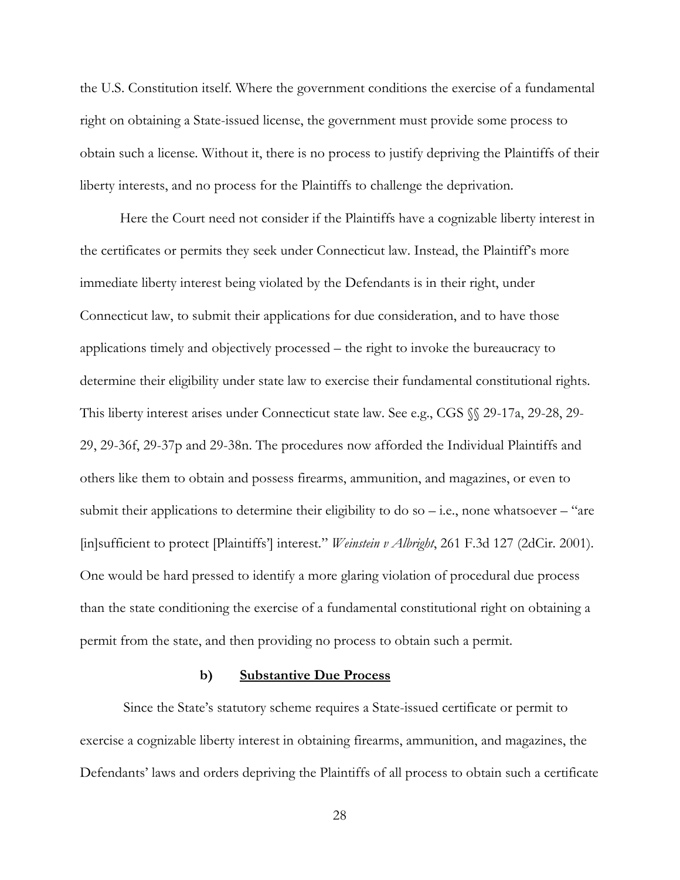the U.S. Constitution itself. Where the government conditions the exercise of a fundamental right on obtaining a State-issued license, the government must provide some process to obtain such a license. Without it, there is no process to justify depriving the Plaintiffs of their liberty interests, and no process for the Plaintiffs to challenge the deprivation.

Here the Court need not consider if the Plaintiffs have a cognizable liberty interest in the certificates or permits they seek under Connecticut law. Instead, the Plaintiff's more immediate liberty interest being violated by the Defendants is in their right, under Connecticut law, to submit their applications for due consideration, and to have those applications timely and objectively processed – the right to invoke the bureaucracy to determine their eligibility under state law to exercise their fundamental constitutional rights. This liberty interest arises under Connecticut state law. See e.g., CGS §§ 29-17a, 29-28, 29- 29, 29-36f, 29-37p and 29-38n. The procedures now afforded the Individual Plaintiffs and others like them to obtain and possess firearms, ammunition, and magazines, or even to submit their applications to determine their eligibility to do so  $-$  i.e., none whatsoever  $-$  "are [in]sufficient to protect [Plaintiffs'] interest." *Weinstein v Albright*, 261 F.3d 127 (2dCir. 2001). One would be hard pressed to identify a more glaring violation of procedural due process than the state conditioning the exercise of a fundamental constitutional right on obtaining a permit from the state, and then providing no process to obtain such a permit.

#### **b) Substantive Due Process**

 Since the State's statutory scheme requires a State-issued certificate or permit to exercise a cognizable liberty interest in obtaining firearms, ammunition, and magazines, the Defendants' laws and orders depriving the Plaintiffs of all process to obtain such a certificate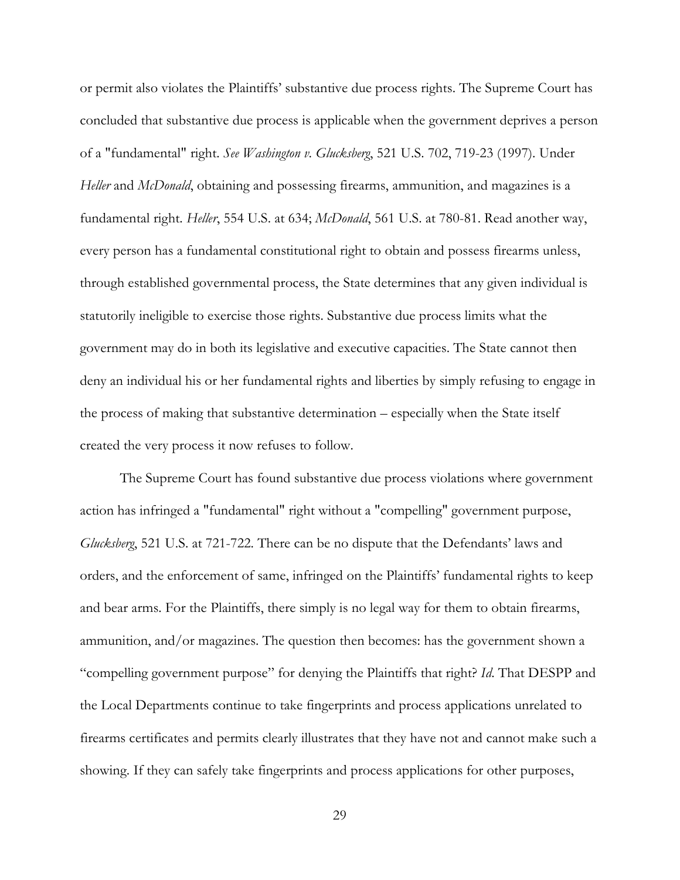or permit also violates the Plaintiffs' substantive due process rights. The Supreme Court has concluded that substantive due process is applicable when the government deprives a person of a "fundamental" right. *See Washington v. Glucksberg*, 521 U.S. 702, 719-23 (1997). Under *Heller* and *McDonald*, obtaining and possessing firearms, ammunition, and magazines is a fundamental right. *Heller*, 554 U.S. at 634; *McDonald*, 561 U.S. at 780-81. Read another way, every person has a fundamental constitutional right to obtain and possess firearms unless, through established governmental process, the State determines that any given individual is statutorily ineligible to exercise those rights. Substantive due process limits what the government may do in both its legislative and executive capacities. The State cannot then deny an individual his or her fundamental rights and liberties by simply refusing to engage in the process of making that substantive determination – especially when the State itself created the very process it now refuses to follow.

The Supreme Court has found substantive due process violations where government action has infringed a "fundamental" right without a "compelling" government purpose, *Glucksberg*, 521 U.S. at 721-722. There can be no dispute that the Defendants' laws and orders, and the enforcement of same, infringed on the Plaintiffs' fundamental rights to keep and bear arms. For the Plaintiffs, there simply is no legal way for them to obtain firearms, ammunition, and/or magazines. The question then becomes: has the government shown a "compelling government purpose" for denying the Plaintiffs that right? *Id*. That DESPP and the Local Departments continue to take fingerprints and process applications unrelated to firearms certificates and permits clearly illustrates that they have not and cannot make such a showing. If they can safely take fingerprints and process applications for other purposes,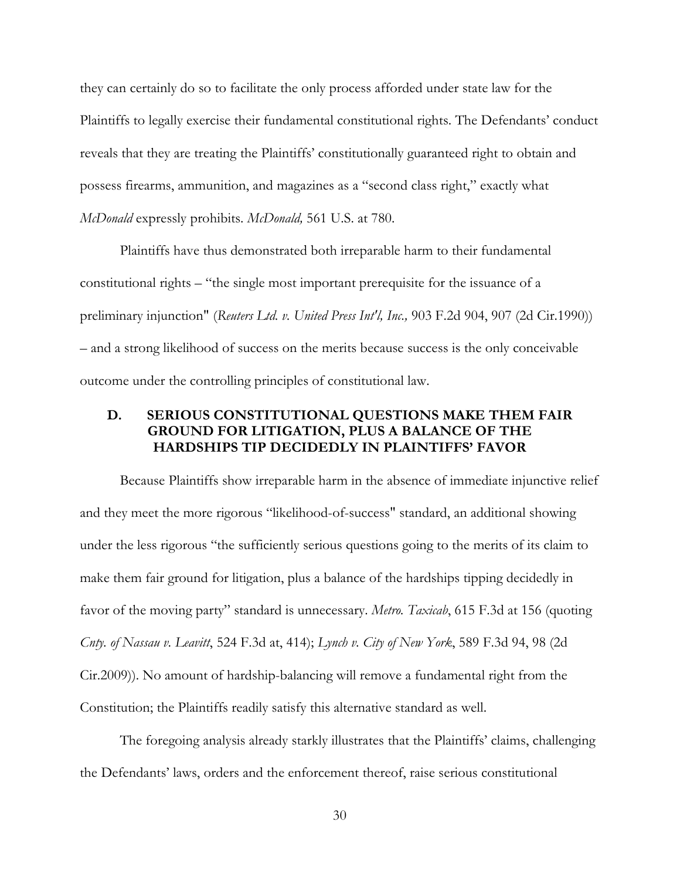they can certainly do so to facilitate the only process afforded under state law for the Plaintiffs to legally exercise their fundamental constitutional rights. The Defendants' conduct reveals that they are treating the Plaintiffs' constitutionally guaranteed right to obtain and possess firearms, ammunition, and magazines as a "second class right," exactly what *McDonald* expressly prohibits. *McDonald,* 561 U.S. at 780.

Plaintiffs have thus demonstrated both irreparable harm to their fundamental constitutional rights – "the single most important prerequisite for the issuance of a preliminary injunction" (*Reuters Ltd. v. United Press Int'l, Inc.,* 903 F.2d 904, 907 (2d Cir.1990)) – and a strong likelihood of success on the merits because success is the only conceivable outcome under the controlling principles of constitutional law.

## **D. SERIOUS CONSTITUTIONAL QUESTIONS MAKE THEM FAIR GROUND FOR LITIGATION, PLUS A BALANCE OF THE HARDSHIPS TIP DECIDEDLY IN PLAINTIFFS' FAVOR**

Because Plaintiffs show irreparable harm in the absence of immediate injunctive relief and they meet the more rigorous "likelihood-of-success" standard, an additional showing under the less rigorous "the sufficiently serious questions going to the merits of its claim to make them fair ground for litigation, plus a balance of the hardships tipping decidedly in favor of the moving party" standard is unnecessary. *Metro. Taxicab*, 615 F.3d at 156 (quoting *Cnty. of Nassau v. Leavitt*, 524 F.3d at, 414); *Lynch v. City of New York*, 589 F.3d 94, 98 (2d Cir.2009)). No amount of hardship-balancing will remove a fundamental right from the Constitution; the Plaintiffs readily satisfy this alternative standard as well.

The foregoing analysis already starkly illustrates that the Plaintiffs' claims, challenging the Defendants' laws, orders and the enforcement thereof, raise serious constitutional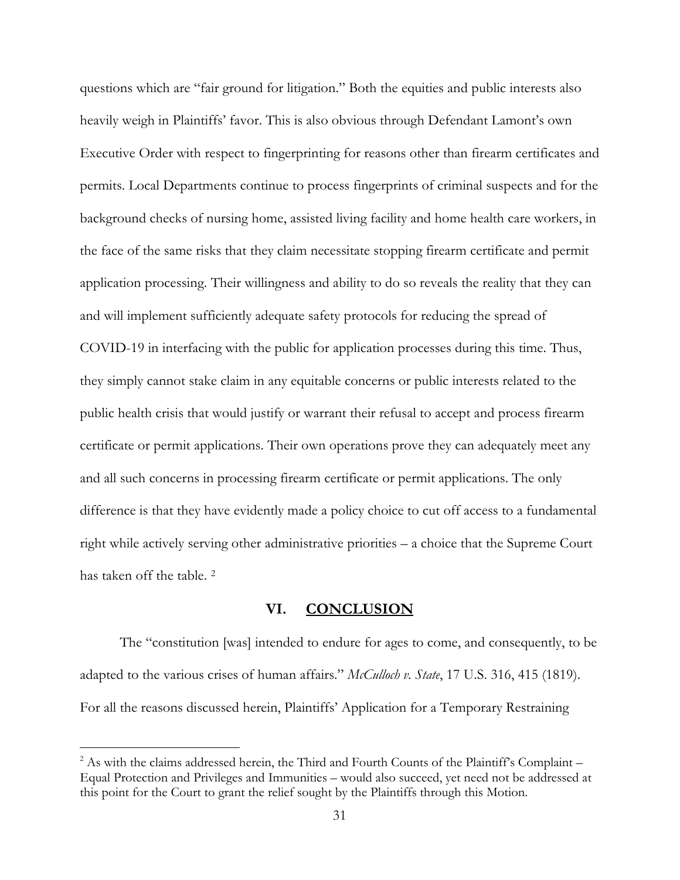questions which are "fair ground for litigation." Both the equities and public interests also heavily weigh in Plaintiffs' favor. This is also obvious through Defendant Lamont's own Executive Order with respect to fingerprinting for reasons other than firearm certificates and permits. Local Departments continue to process fingerprints of criminal suspects and for the background checks of nursing home, assisted living facility and home health care workers, in the face of the same risks that they claim necessitate stopping firearm certificate and permit application processing. Their willingness and ability to do so reveals the reality that they can and will implement sufficiently adequate safety protocols for reducing the spread of COVID-19 in interfacing with the public for application processes during this time. Thus, they simply cannot stake claim in any equitable concerns or public interests related to the public health crisis that would justify or warrant their refusal to accept and process firearm certificate or permit applications. Their own operations prove they can adequately meet any and all such concerns in processing firearm certificate or permit applications. The only difference is that they have evidently made a policy choice to cut off access to a fundamental right while actively serving other administrative priorities – a choice that the Supreme Court has taken off the table. <sup>2</sup>

## **VI. CONCLUSION**

The "constitution [was] intended to endure for ages to come, and consequently, to be adapted to the various crises of human affairs." *McCulloch v. State*, 17 U.S. 316, 415 (1819). For all the reasons discussed herein, Plaintiffs' Application for a Temporary Restraining

 $\overline{a}$ 

<sup>&</sup>lt;sup>2</sup> As with the claims addressed herein, the Third and Fourth Counts of the Plaintiff's Complaint -Equal Protection and Privileges and Immunities – would also succeed, yet need not be addressed at this point for the Court to grant the relief sought by the Plaintiffs through this Motion.